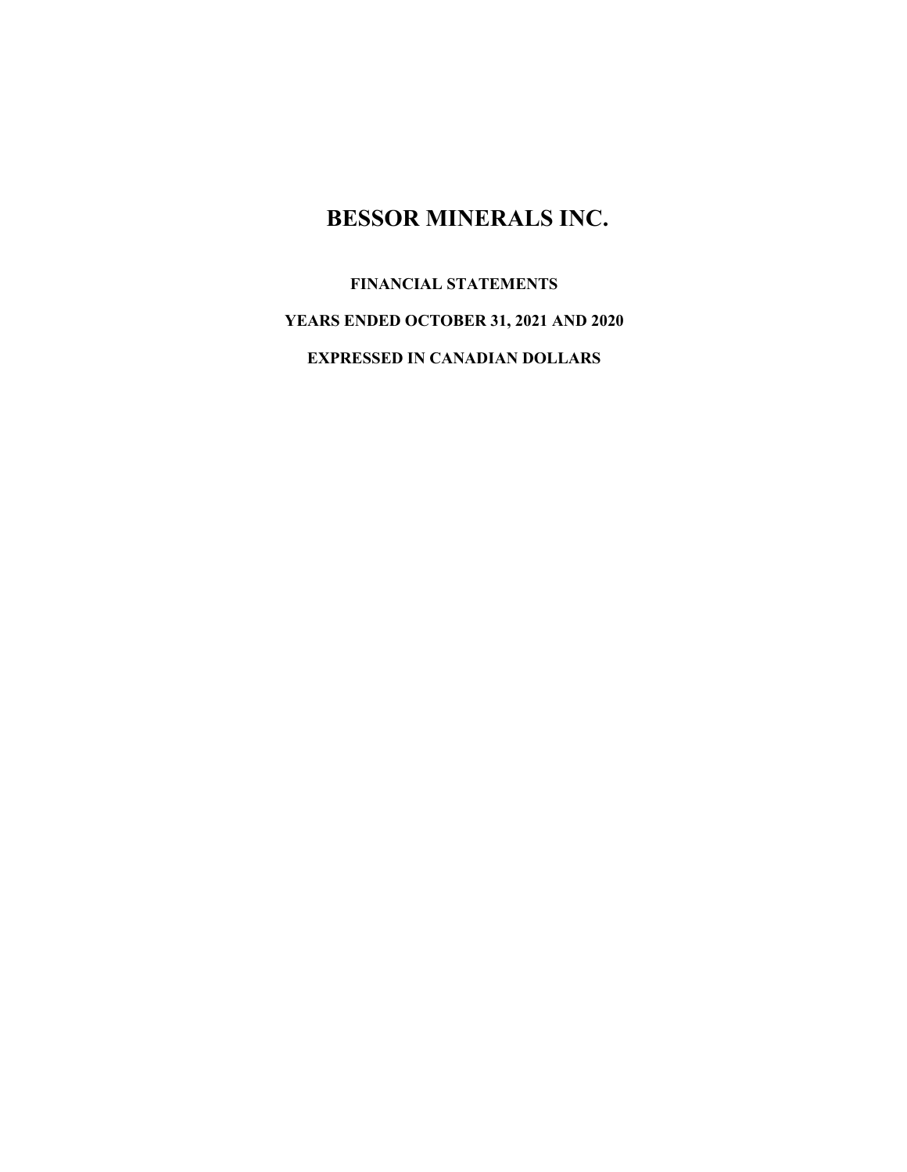# **BESSOR MINERALS INC.**

**FINANCIAL STATEMENTS YEARS ENDED OCTOBER 31, 2021 AND 2020 EXPRESSED IN CANADIAN DOLLARS**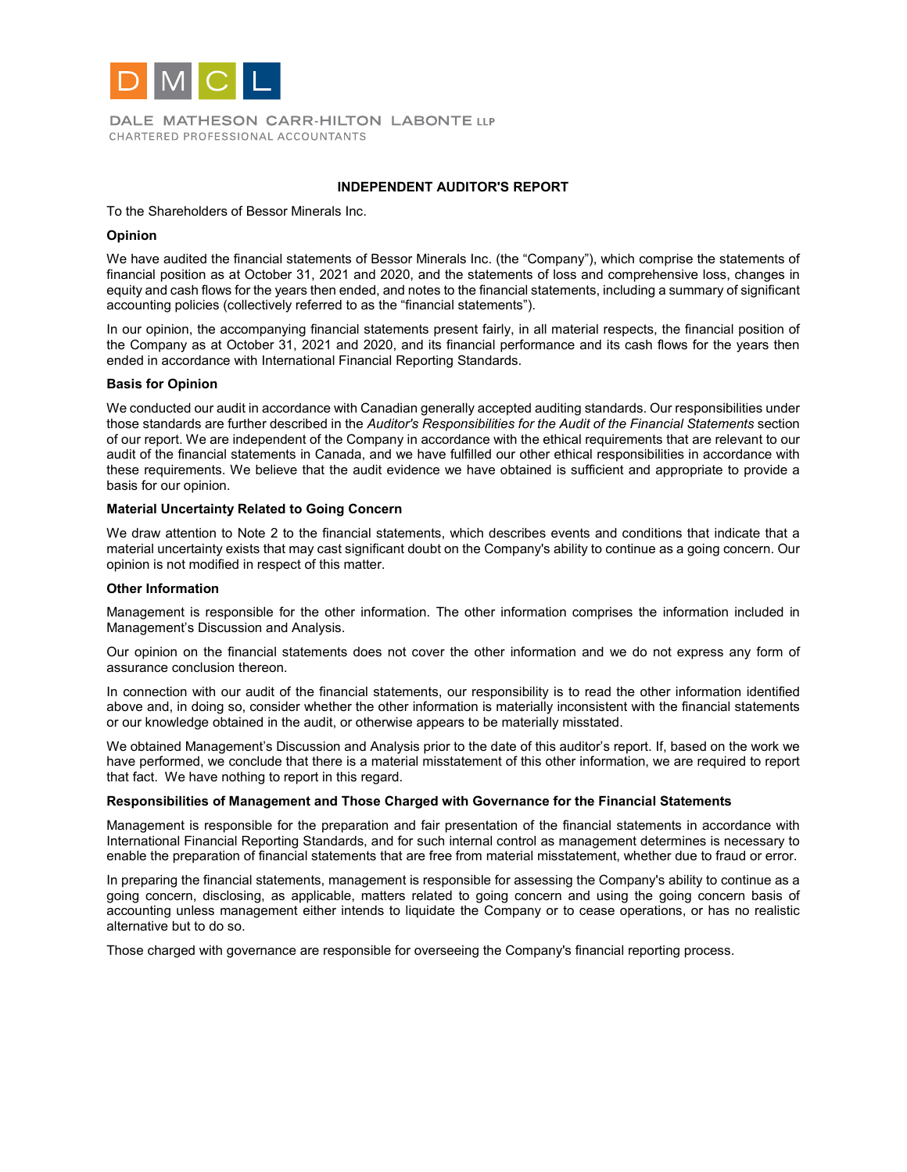

DALE MATHESON CARR-HILTON LABONTE LLP CHARTERED PROFESSIONAL ACCOUNTANTS

#### **INDEPENDENT AUDITOR'S REPORT**

To the Shareholders of Bessor Minerals Inc.

#### **Opinion**

We have audited the financial statements of Bessor Minerals Inc. (the "Company"), which comprise the statements of financial position as at October 31, 2021 and 2020, and the statements of loss and comprehensive loss, changes in equity and cash flows for the years then ended, and notes to the financial statements, including a summary of significant accounting policies (collectively referred to as the "financial statements").

In our opinion, the accompanying financial statements present fairly, in all material respects, the financial position of the Company as at October 31, 2021 and 2020, and its financial performance and its cash flows for the years then ended in accordance with International Financial Reporting Standards.

#### **Basis for Opinion**

We conducted our audit in accordance with Canadian generally accepted auditing standards. Our responsibilities under those standards are further described in the *Auditor's Responsibilities for the Audit of the Financial Statements* section of our report. We are independent of the Company in accordance with the ethical requirements that are relevant to our audit of the financial statements in Canada, and we have fulfilled our other ethical responsibilities in accordance with these requirements. We believe that the audit evidence we have obtained is sufficient and appropriate to provide a basis for our opinion.

#### **Material Uncertainty Related to Going Concern**

We draw attention to Note 2 to the financial statements, which describes events and conditions that indicate that a material uncertainty exists that may cast significant doubt on the Company's ability to continue as a going concern. Our opinion is not modified in respect of this matter.

#### **Other Information**

Management is responsible for the other information. The other information comprises the information included in Management's Discussion and Analysis.

Our opinion on the financial statements does not cover the other information and we do not express any form of assurance conclusion thereon.

In connection with our audit of the financial statements, our responsibility is to read the other information identified above and, in doing so, consider whether the other information is materially inconsistent with the financial statements or our knowledge obtained in the audit, or otherwise appears to be materially misstated.

We obtained Management's Discussion and Analysis prior to the date of this auditor's report. If, based on the work we have performed, we conclude that there is a material misstatement of this other information, we are required to report that fact. We have nothing to report in this regard.

#### **Responsibilities of Management and Those Charged with Governance for the Financial Statements**

Management is responsible for the preparation and fair presentation of the financial statements in accordance with International Financial Reporting Standards, and for such internal control as management determines is necessary to enable the preparation of financial statements that are free from material misstatement, whether due to fraud or error.

In preparing the financial statements, management is responsible for assessing the Company's ability to continue as a going concern, disclosing, as applicable, matters related to going concern and using the going concern basis of accounting unless management either intends to liquidate the Company or to cease operations, or has no realistic alternative but to do so.

Those charged with governance are responsible for overseeing the Company's financial reporting process.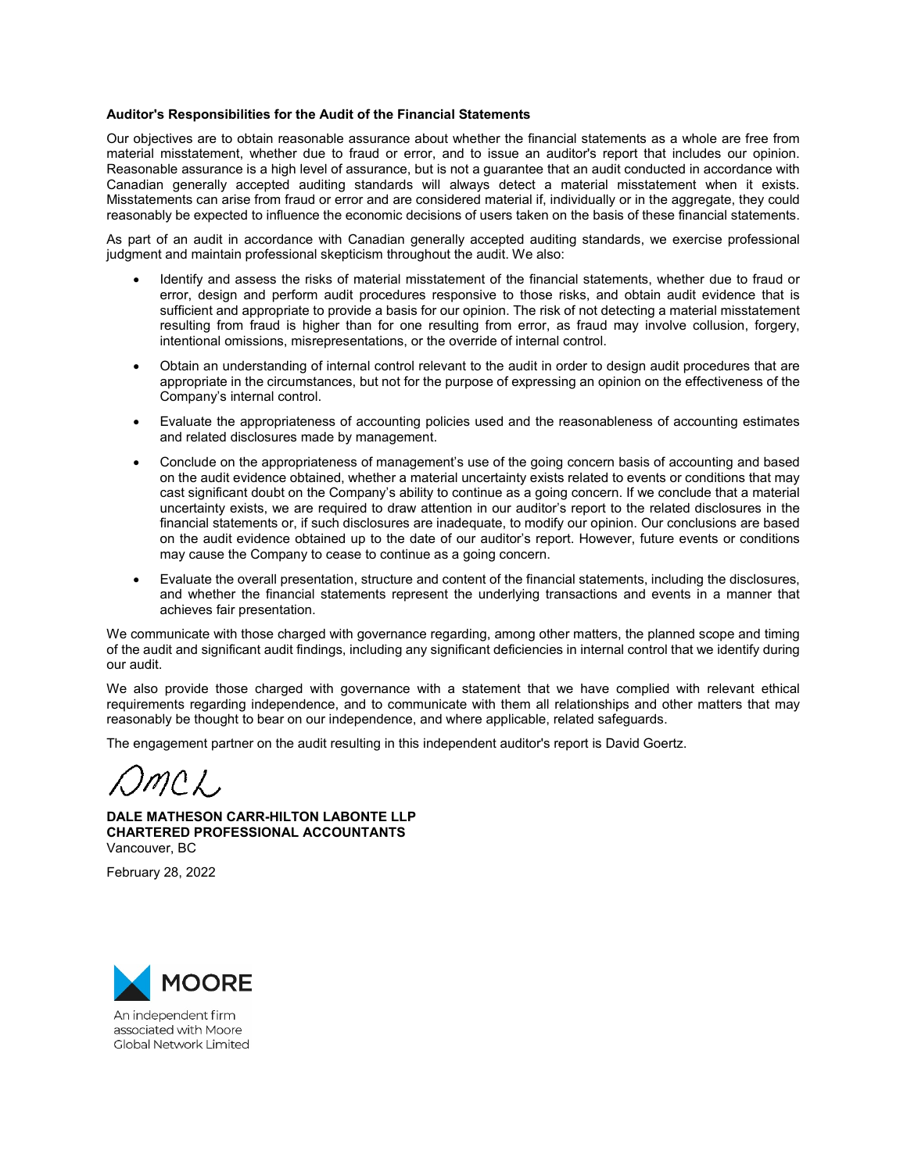#### **Auditor's Responsibilities for the Audit of the Financial Statements**

Our objectives are to obtain reasonable assurance about whether the financial statements as a whole are free from material misstatement, whether due to fraud or error, and to issue an auditor's report that includes our opinion. Reasonable assurance is a high level of assurance, but is not a guarantee that an audit conducted in accordance with Canadian generally accepted auditing standards will always detect a material misstatement when it exists. Misstatements can arise from fraud or error and are considered material if, individually or in the aggregate, they could reasonably be expected to influence the economic decisions of users taken on the basis of these financial statements.

As part of an audit in accordance with Canadian generally accepted auditing standards, we exercise professional judgment and maintain professional skepticism throughout the audit. We also:

- Identify and assess the risks of material misstatement of the financial statements, whether due to fraud or error, design and perform audit procedures responsive to those risks, and obtain audit evidence that is sufficient and appropriate to provide a basis for our opinion. The risk of not detecting a material misstatement resulting from fraud is higher than for one resulting from error, as fraud may involve collusion, forgery, intentional omissions, misrepresentations, or the override of internal control.
- Obtain an understanding of internal control relevant to the audit in order to design audit procedures that are appropriate in the circumstances, but not for the purpose of expressing an opinion on the effectiveness of the Company's internal control.
- Evaluate the appropriateness of accounting policies used and the reasonableness of accounting estimates and related disclosures made by management.
- Conclude on the appropriateness of management's use of the going concern basis of accounting and based on the audit evidence obtained, whether a material uncertainty exists related to events or conditions that may cast significant doubt on the Company's ability to continue as a going concern. If we conclude that a material uncertainty exists, we are required to draw attention in our auditor's report to the related disclosures in the financial statements or, if such disclosures are inadequate, to modify our opinion. Our conclusions are based on the audit evidence obtained up to the date of our auditor's report. However, future events or conditions may cause the Company to cease to continue as a going concern.
- Evaluate the overall presentation, structure and content of the financial statements, including the disclosures, and whether the financial statements represent the underlying transactions and events in a manner that achieves fair presentation.

We communicate with those charged with governance regarding, among other matters, the planned scope and timing of the audit and significant audit findings, including any significant deficiencies in internal control that we identify during our audit.

We also provide those charged with governance with a statement that we have complied with relevant ethical requirements regarding independence, and to communicate with them all relationships and other matters that may reasonably be thought to bear on our independence, and where applicable, related safeguards.

The engagement partner on the audit resulting in this independent auditor's report is David Goertz.

Dmol.

**DALE MATHESON CARR-HILTON LABONTE LLP CHARTERED PROFESSIONAL ACCOUNTANTS** Vancouver, BC

February 28, 2022



An independent firm associated with Moore Global Network Limited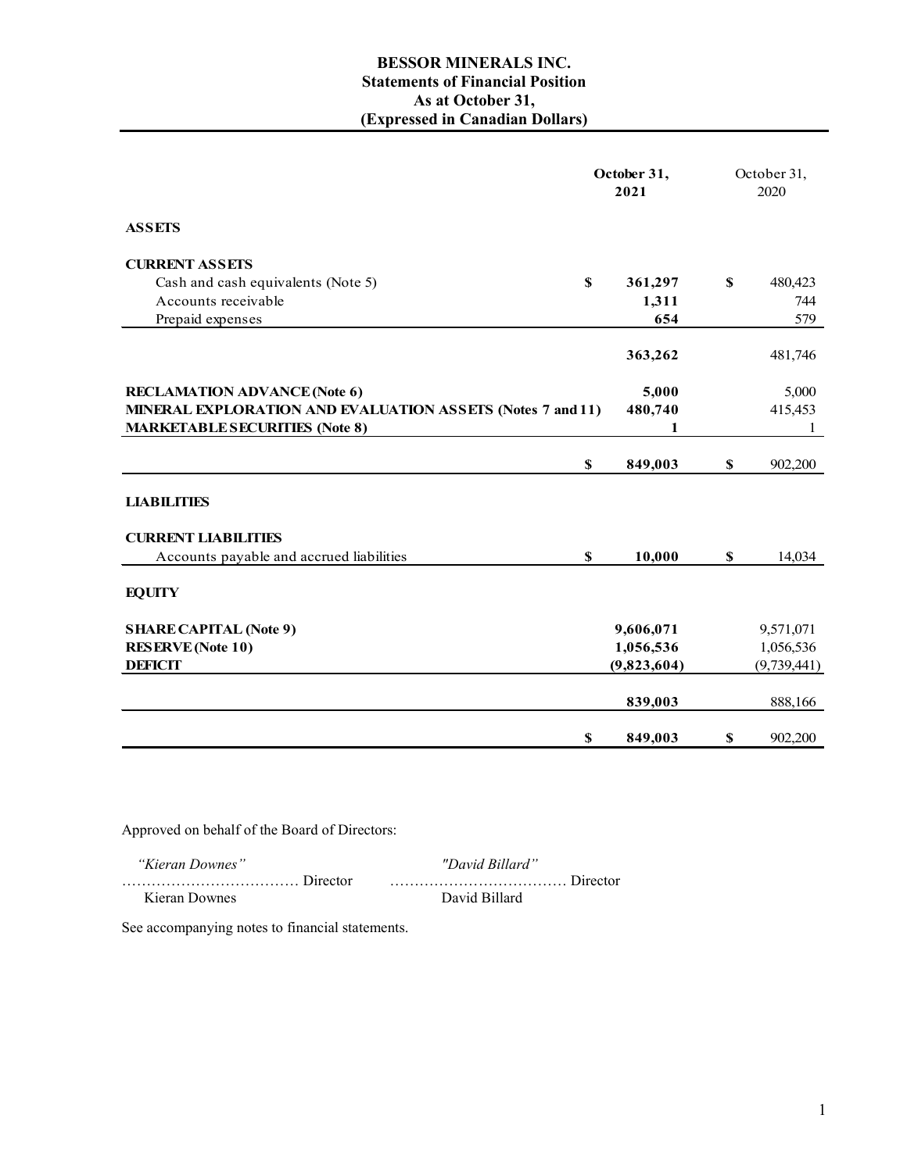### **BESSOR MINERALS INC. Statements of Financial Position As at October 31, (Expressed in Canadian Dollars)**

|                                                            | October 31,<br>2021 |    | October 31,<br>2020 |
|------------------------------------------------------------|---------------------|----|---------------------|
| <b>ASSETS</b>                                              |                     |    |                     |
| <b>CURRENT ASSETS</b>                                      |                     |    |                     |
| Cash and cash equivalents (Note 5)<br>\$                   | 361,297             | S  | 480,423             |
| Accounts receivable                                        | 1,311               |    | 744                 |
| Prepaid expenses                                           | 654                 |    | 579                 |
|                                                            | 363,262             |    | 481,746             |
| <b>RECLAMATION ADVANCE (Note 6)</b>                        | 5,000               |    | 5,000               |
| MINERAL EXPLORATION AND EVALUATION ASSETS (Notes 7 and 11) | 480,740             |    | 415,453             |
| <b>MARKETABLE SECURITIES (Note 8)</b>                      | 1                   |    | 1                   |
|                                                            |                     |    |                     |
| \$                                                         | 849,003             | \$ | 902,200             |
| <b>LIABILITIES</b>                                         |                     |    |                     |
| <b>CURRENT LIABILITIES</b>                                 |                     |    |                     |
| $\mathbf S$<br>Accounts payable and accrued liabilities    | 10,000              | \$ | 14,034              |
| <b>EQUITY</b>                                              |                     |    |                     |
| <b>SHARE CAPITAL (Note 9)</b>                              | 9,606,071           |    | 9,571,071           |
| <b>RESERVE</b> (Note 10)                                   | 1,056,536           |    | 1,056,536           |
| <b>DEFICIT</b>                                             | (9,823,604)         |    | (9,739,441)         |
|                                                            | 839,003             |    | 888,166             |
| S                                                          | 849,003             | S  | 902,200             |

Approved on behalf of the Board of Directors:

| "Kieran Downes" | "David Billard" |
|-----------------|-----------------|
|                 |                 |
| Kieran Downes   | David Billard   |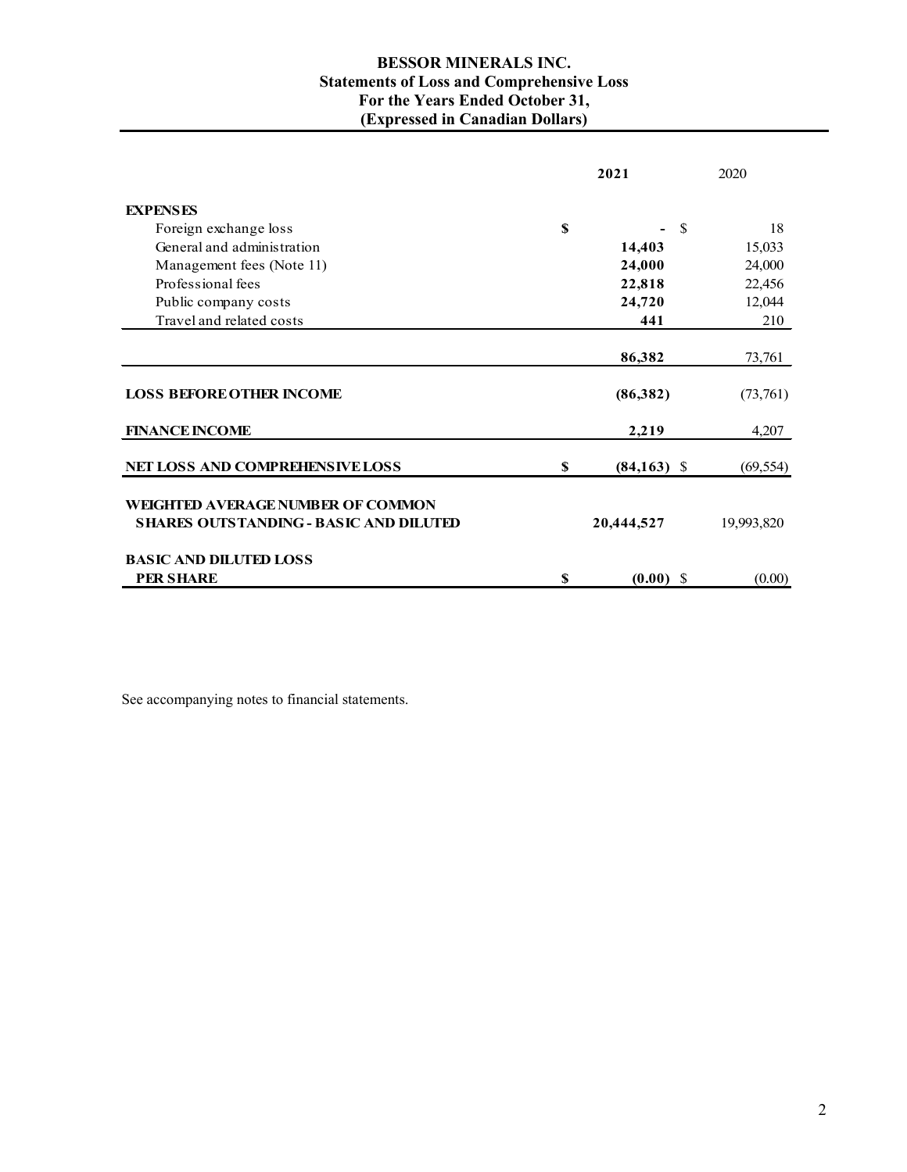### **BESSOR MINERALS INC. Statements of Loss and Comprehensive Loss For the Years Ended October 31, (Expressed in Canadian Dollars)**

|                                               | 2021                | 2020       |
|-----------------------------------------------|---------------------|------------|
| <b>EXPENSES</b>                               |                     |            |
| Foreign exchange loss                         | \$<br><sup>\$</sup> | 18         |
| General and administration                    | 14,403              | 15,033     |
| Management fees (Note 11)                     | 24,000              | 24,000     |
| Professional fees                             | 22,818              | 22,456     |
| Public company costs                          | 24,720              | 12,044     |
| Travel and related costs                      | 441                 | 210        |
|                                               | 86,382              | 73,761     |
| <b>LOSS BEFORE OTHER INCOME</b>               | (86,382)            | (73,761)   |
| <b>FINANCE INCOME</b>                         | 2,219               | 4,207      |
| <b>NET LOSS AND COMPREHENSIVE LOSS</b>        | \$<br>$(84,163)$ \$ | (69, 554)  |
| <b>WEIGHTED AVERAGE NUMBER OF COMMON</b>      |                     |            |
| <b>SHARES OUTSTANDING - BASIC AND DILUTED</b> | 20,444,527          | 19,993,820 |
| <b>BASIC AND DILUTED LOSS</b>                 |                     |            |
| <b>PER SHARE</b>                              | \$<br>$(0.00)$ \$   | (0.00)     |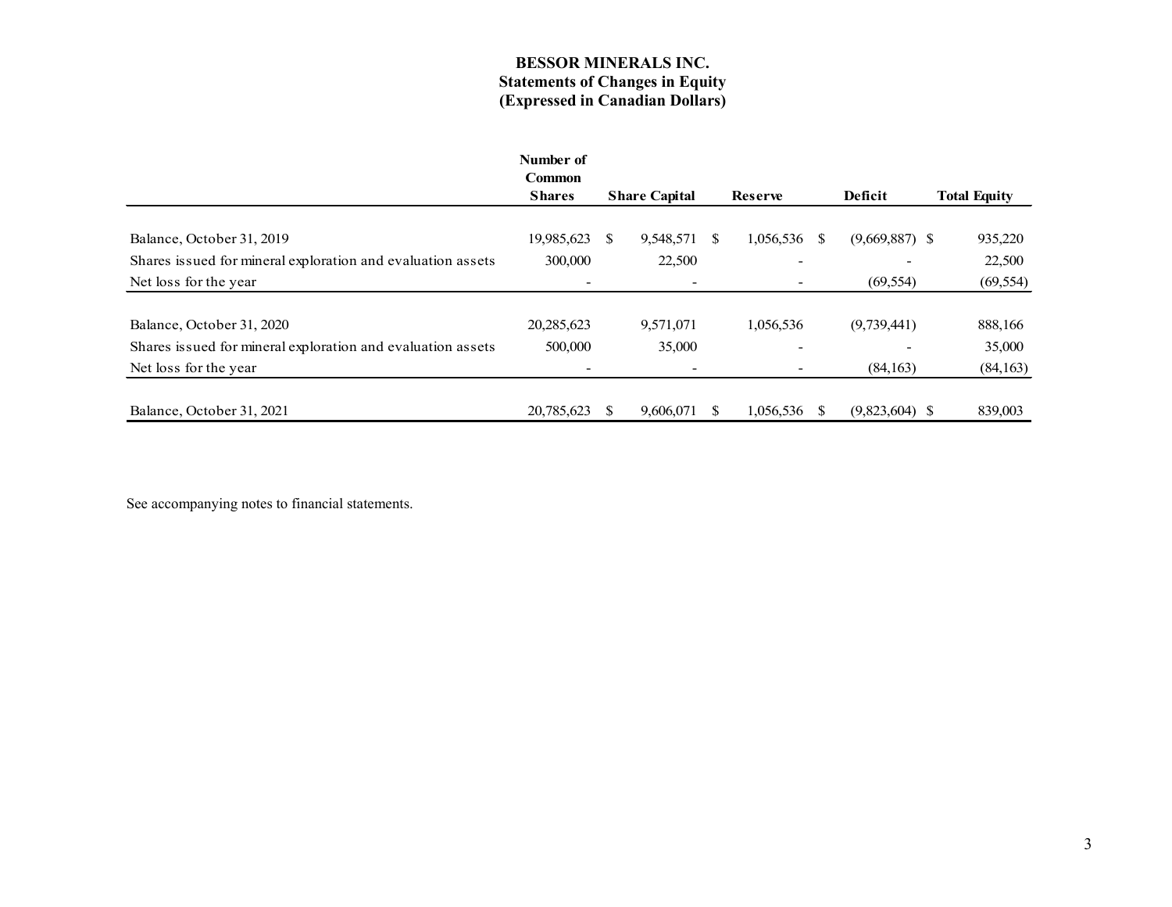#### **BESSOR MINERALS INC. Statements of Changes in Equity (Expressed in Canadian Dollars)**

|                                                             | Number of<br><b>Common</b> |                      |           |                |                              |               |                  |                     |
|-------------------------------------------------------------|----------------------------|----------------------|-----------|----------------|------------------------------|---------------|------------------|---------------------|
|                                                             | <b>Shares</b>              | <b>Share Capital</b> |           | <b>Reserve</b> |                              | Deficit       |                  | <b>Total Equity</b> |
| Balance, October 31, 2019                                   | 19,985,623                 | <sup>S</sup>         | 9,548,571 | <b>S</b>       | 1,056,536                    | <sup>\$</sup> | $(9,669,887)$ \$ | 935,220             |
| Shares issued for mineral exploration and evaluation assets | 300,000                    |                      | 22,500    |                | $\overline{\phantom{0}}$     |               |                  | 22,500              |
| Net loss for the year                                       |                            |                      |           |                | $\qquad \qquad \blacksquare$ |               | (69, 554)        | (69, 554)           |
| Balance, October 31, 2020                                   | 20,285,623                 |                      | 9,571,071 |                | 1,056,536                    |               | (9,739,441)      | 888,166             |
| Shares issued for mineral exploration and evaluation assets | 500,000                    |                      | 35,000    |                | $\overline{\phantom{0}}$     |               |                  | 35,000              |
| Net loss for the year                                       |                            |                      |           |                |                              |               | (84,163)         | (84, 163)           |
| Balance, October 31, 2021                                   | 20,785,623                 |                      | 9,606,071 | <b>S</b>       | 1.056.536                    | \$.           | $(9,823,604)$ \$ | 839,003             |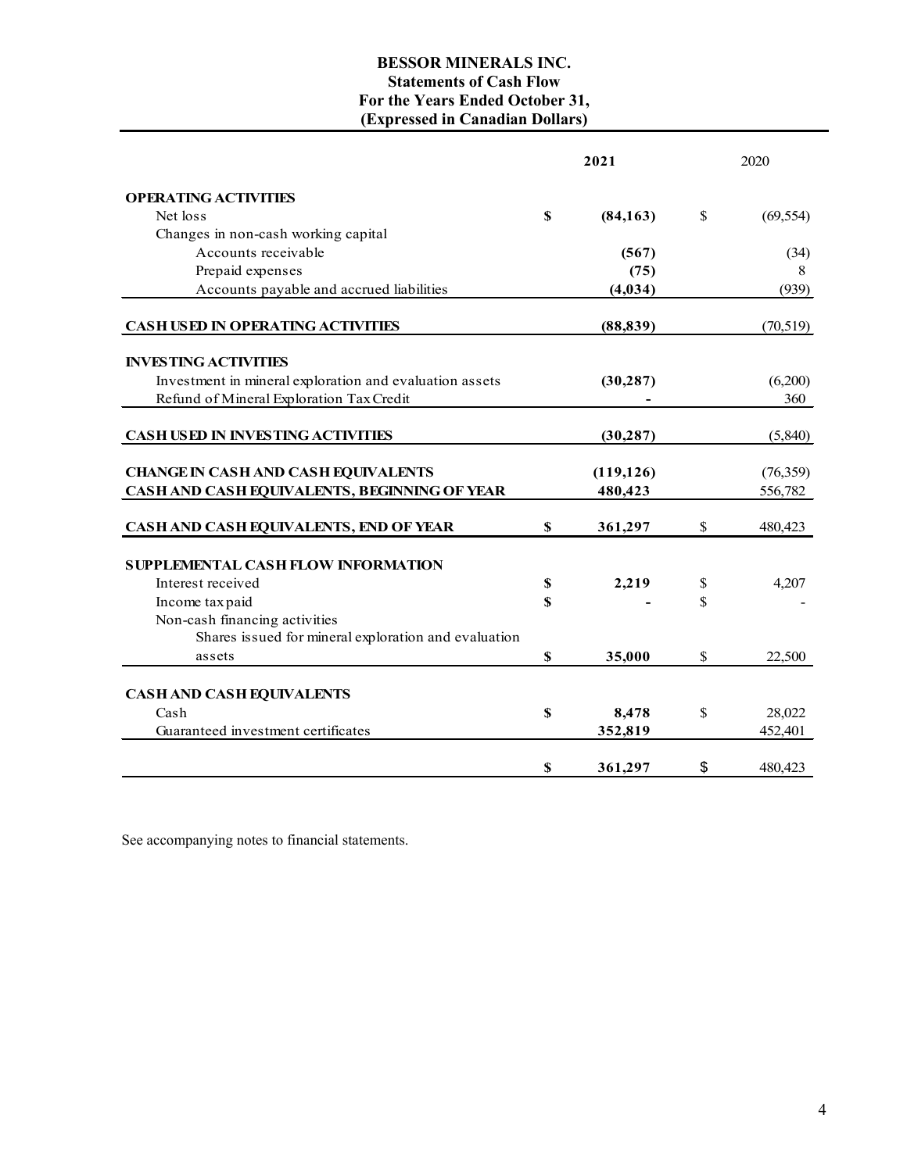### **BESSOR MINERALS INC. Statements of Cash Flow For the Years Ended October 31, (Expressed in Canadian Dollars)**

|                                                         |    | 2021       |    | 2020      |  |
|---------------------------------------------------------|----|------------|----|-----------|--|
| <b>OPERATING ACTIVITIES</b>                             |    |            |    |           |  |
| Net loss                                                | S  | (84, 163)  | \$ | (69, 554) |  |
| Changes in non-cash working capital                     |    |            |    |           |  |
| Accounts receivable                                     |    | (567)      |    | (34)      |  |
| Prepaid expenses                                        |    | (75)       |    | 8         |  |
| Accounts payable and accrued liabilities                |    | (4, 034)   |    | (939)     |  |
| <b>CASH USED IN OPERATING ACTIVITIES</b>                |    | (88, 839)  |    | (70, 519) |  |
| <b>INVESTING ACTIVITIES</b>                             |    |            |    |           |  |
| Investment in mineral exploration and evaluation assets |    | (30, 287)  |    | (6,200)   |  |
| Refund of Mineral Exploration Tax Credit                |    |            |    | 360       |  |
| <b>CASH USED IN INVESTING ACTIVITIES</b>                |    | (30, 287)  |    | (5,840)   |  |
| <b>CHANGE IN CASH AND CASH EQUIVALENTS</b>              |    | (119, 126) |    | (76,359)  |  |
| CASH AND CASH EQUIVALENTS, BEGINNING OF YEAR            |    | 480,423    |    | 556,782   |  |
| CASH AND CASH EQUIVALENTS, END OF YEAR                  | S  | 361,297    | \$ | 480,423   |  |
| <b>SUPPLEMENTAL CASH FLOW INFORMATION</b>               |    |            |    |           |  |
| Interest received                                       | \$ | 2,219      | \$ | 4,207     |  |
| Income tax paid                                         | \$ |            | \$ |           |  |
| Non-cash financing activities                           |    |            |    |           |  |
| Shares issued for mineral exploration and evaluation    |    |            |    |           |  |
| assets                                                  | \$ | 35,000     | \$ | 22,500    |  |
| <b>CASH AND CASH EQUIVALENTS</b>                        |    |            |    |           |  |
| Cash                                                    | \$ | 8,478      | \$ | 28,022    |  |
| Guaranteed investment certificates                      |    | 352,819    |    | 452,401   |  |
|                                                         | \$ | 361,297    | \$ | 480,423   |  |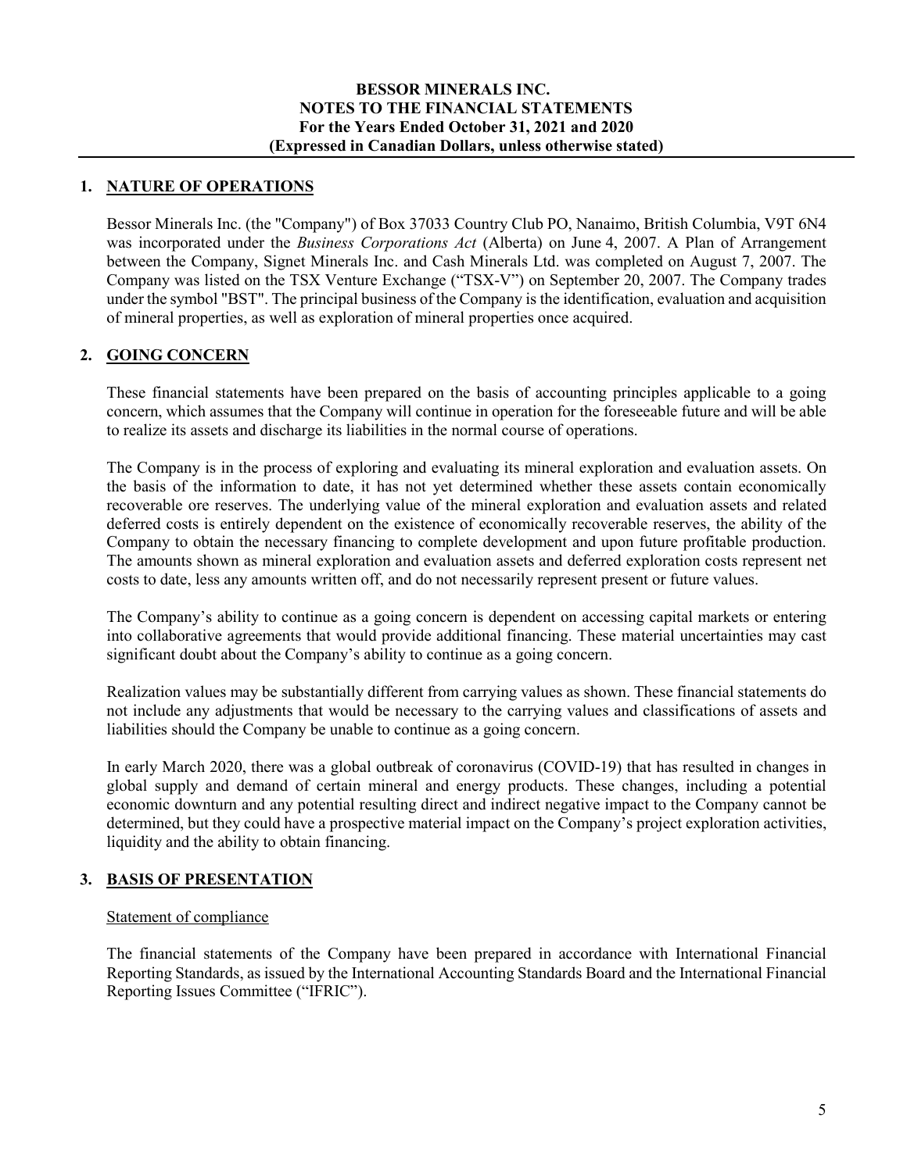### **1. NATURE OF OPERATIONS**

Bessor Minerals Inc. (the "Company") of Box 37033 Country Club PO, Nanaimo, British Columbia, V9T 6N4 was incorporated under the *Business Corporations Act* (Alberta) on June 4, 2007. A Plan of Arrangement between the Company, Signet Minerals Inc. and Cash Minerals Ltd. was completed on August 7, 2007. The Company was listed on the TSX Venture Exchange ("TSX-V") on September 20, 2007. The Company trades under the symbol "BST". The principal business of the Company is the identification, evaluation and acquisition of mineral properties, as well as exploration of mineral properties once acquired.

### **2. GOING CONCERN**

These financial statements have been prepared on the basis of accounting principles applicable to a going concern, which assumes that the Company will continue in operation for the foreseeable future and will be able to realize its assets and discharge its liabilities in the normal course of operations.

The Company is in the process of exploring and evaluating its mineral exploration and evaluation assets. On the basis of the information to date, it has not yet determined whether these assets contain economically recoverable ore reserves. The underlying value of the mineral exploration and evaluation assets and related deferred costs is entirely dependent on the existence of economically recoverable reserves, the ability of the Company to obtain the necessary financing to complete development and upon future profitable production. The amounts shown as mineral exploration and evaluation assets and deferred exploration costs represent net costs to date, less any amounts written off, and do not necessarily represent present or future values.

The Company's ability to continue as a going concern is dependent on accessing capital markets or entering into collaborative agreements that would provide additional financing. These material uncertainties may cast significant doubt about the Company's ability to continue as a going concern.

Realization values may be substantially different from carrying values as shown. These financial statements do not include any adjustments that would be necessary to the carrying values and classifications of assets and liabilities should the Company be unable to continue as a going concern.

In early March 2020, there was a global outbreak of coronavirus (COVID-19) that has resulted in changes in global supply and demand of certain mineral and energy products. These changes, including a potential economic downturn and any potential resulting direct and indirect negative impact to the Company cannot be determined, but they could have a prospective material impact on the Company's project exploration activities, liquidity and the ability to obtain financing.

### **3. BASIS OF PRESENTATION**

#### Statement of compliance

The financial statements of the Company have been prepared in accordance with International Financial Reporting Standards, as issued by the International Accounting Standards Board and the International Financial Reporting Issues Committee ("IFRIC").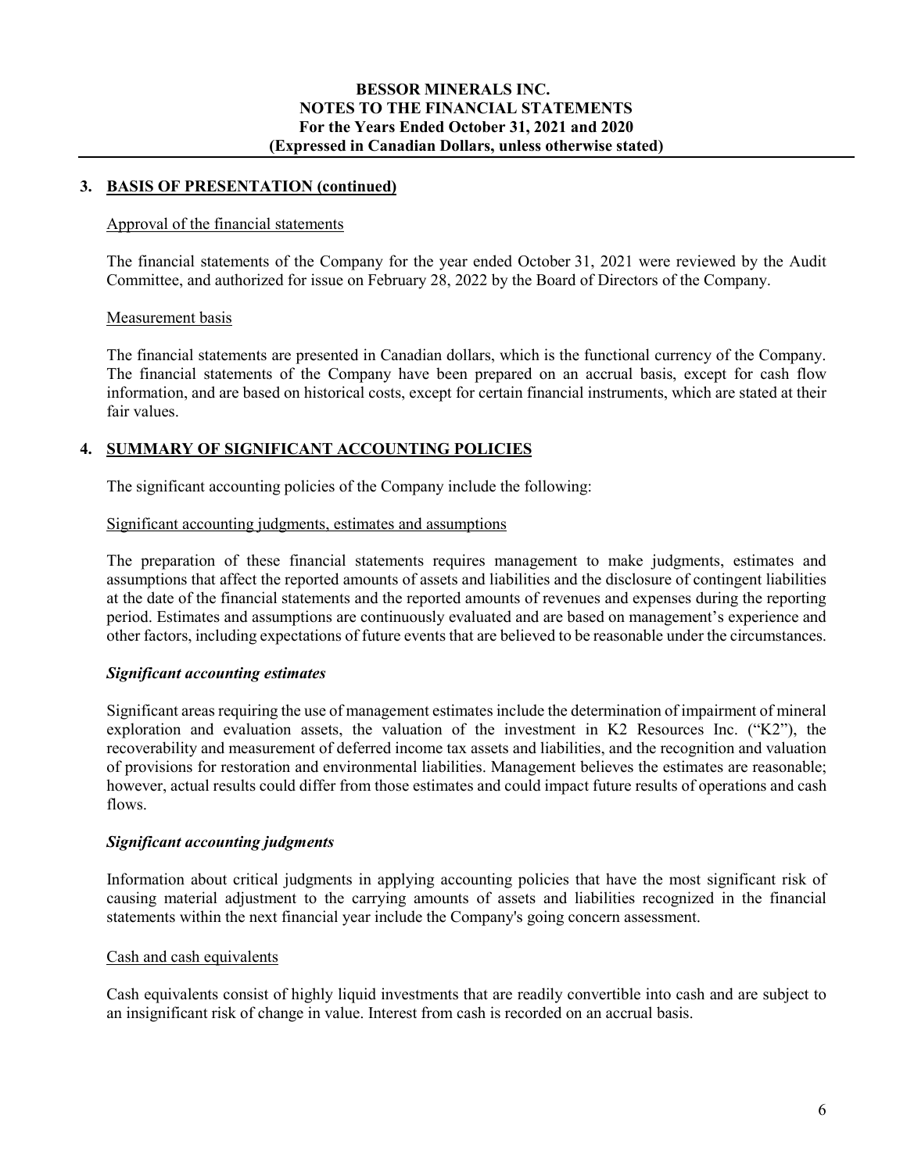### **3. BASIS OF PRESENTATION (continued)**

#### Approval of the financial statements

The financial statements of the Company for the year ended October 31, 2021 were reviewed by the Audit Committee, and authorized for issue on February 28, 2022 by the Board of Directors of the Company.

#### Measurement basis

The financial statements are presented in Canadian dollars, which is the functional currency of the Company. The financial statements of the Company have been prepared on an accrual basis, except for cash flow information, and are based on historical costs, except for certain financial instruments, which are stated at their fair values.

#### **4. SUMMARY OF SIGNIFICANT ACCOUNTING POLICIES**

The significant accounting policies of the Company include the following:

#### Significant accounting judgments, estimates and assumptions

The preparation of these financial statements requires management to make judgments, estimates and assumptions that affect the reported amounts of assets and liabilities and the disclosure of contingent liabilities at the date of the financial statements and the reported amounts of revenues and expenses during the reporting period. Estimates and assumptions are continuously evaluated and are based on management's experience and other factors, including expectations of future events that are believed to be reasonable under the circumstances.

#### *Significant accounting estimates*

Significant areas requiring the use of management estimates include the determination of impairment of mineral exploration and evaluation assets, the valuation of the investment in K2 Resources Inc. ("K2"), the recoverability and measurement of deferred income tax assets and liabilities, and the recognition and valuation of provisions for restoration and environmental liabilities. Management believes the estimates are reasonable; however, actual results could differ from those estimates and could impact future results of operations and cash flows.

#### *Significant accounting judgments*

Information about critical judgments in applying accounting policies that have the most significant risk of causing material adjustment to the carrying amounts of assets and liabilities recognized in the financial statements within the next financial year include the Company's going concern assessment.

#### Cash and cash equivalents

Cash equivalents consist of highly liquid investments that are readily convertible into cash and are subject to an insignificant risk of change in value. Interest from cash is recorded on an accrual basis.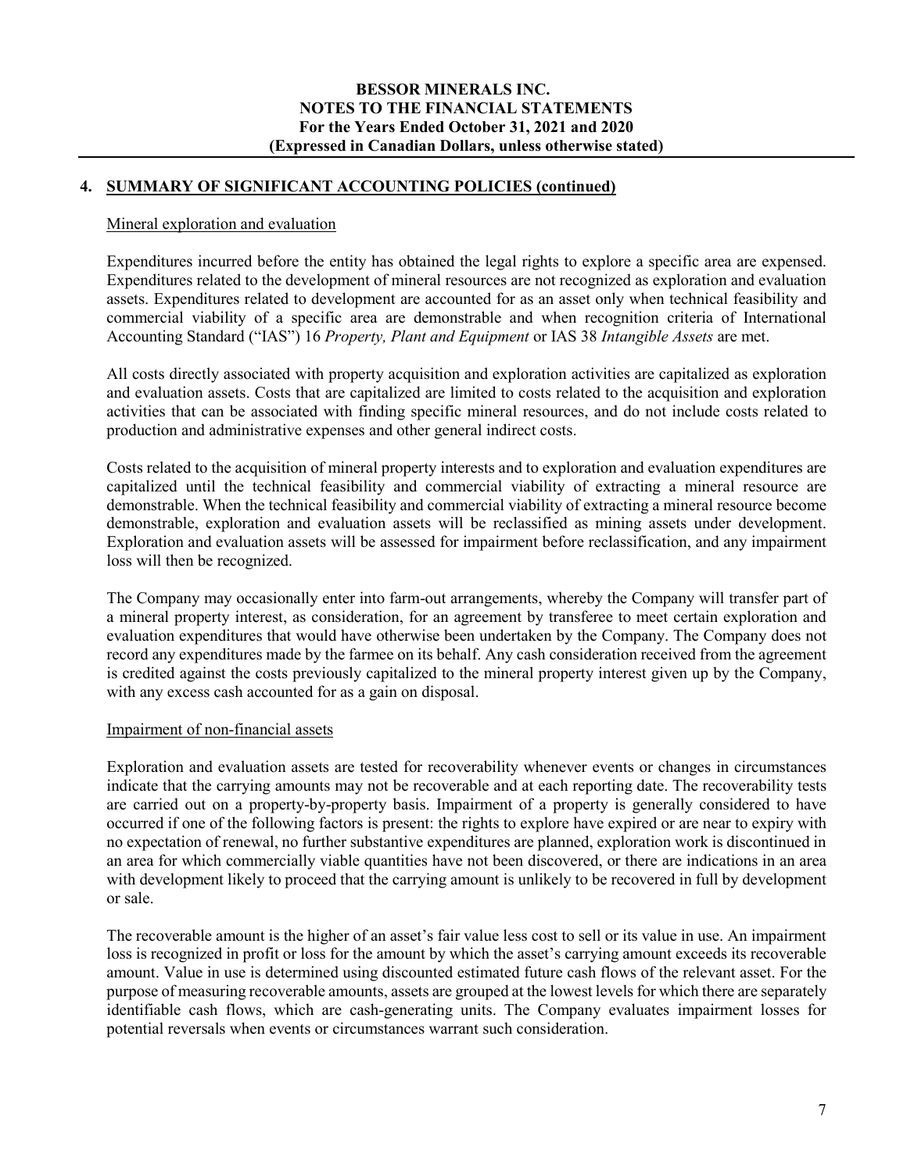### **4. SUMMARY OF SIGNIFICANT ACCOUNTING POLICIES (continued)**

#### Mineral exploration and evaluation

Expenditures incurred before the entity has obtained the legal rights to explore a specific area are expensed. Expenditures related to the development of mineral resources are not recognized as exploration and evaluation assets. Expenditures related to development are accounted for as an asset only when technical feasibility and commercial viability of a specific area are demonstrable and when recognition criteria of International Accounting Standard ("IAS") 16 *Property, Plant and Equipment* or IAS 38 *Intangible Assets* are met.

All costs directly associated with property acquisition and exploration activities are capitalized as exploration and evaluation assets. Costs that are capitalized are limited to costs related to the acquisition and exploration activities that can be associated with finding specific mineral resources, and do not include costs related to production and administrative expenses and other general indirect costs.

Costs related to the acquisition of mineral property interests and to exploration and evaluation expenditures are capitalized until the technical feasibility and commercial viability of extracting a mineral resource are demonstrable. When the technical feasibility and commercial viability of extracting a mineral resource become demonstrable, exploration and evaluation assets will be reclassified as mining assets under development. Exploration and evaluation assets will be assessed for impairment before reclassification, and any impairment loss will then be recognized.

The Company may occasionally enter into farm-out arrangements, whereby the Company will transfer part of a mineral property interest, as consideration, for an agreement by transferee to meet certain exploration and evaluation expenditures that would have otherwise been undertaken by the Company. The Company does not record any expenditures made by the farmee on its behalf. Any cash consideration received from the agreement is credited against the costs previously capitalized to the mineral property interest given up by the Company, with any excess cash accounted for as a gain on disposal.

#### Impairment of non-financial assets

Exploration and evaluation assets are tested for recoverability whenever events or changes in circumstances indicate that the carrying amounts may not be recoverable and at each reporting date. The recoverability tests are carried out on a property-by-property basis. Impairment of a property is generally considered to have occurred if one of the following factors is present: the rights to explore have expired or are near to expiry with no expectation of renewal, no further substantive expenditures are planned, exploration work is discontinued in an area for which commercially viable quantities have not been discovered, or there are indications in an area with development likely to proceed that the carrying amount is unlikely to be recovered in full by development or sale.

The recoverable amount is the higher of an asset's fair value less cost to sell or its value in use. An impairment loss is recognized in profit or loss for the amount by which the asset's carrying amount exceeds its recoverable amount. Value in use is determined using discounted estimated future cash flows of the relevant asset. For the purpose of measuring recoverable amounts, assets are grouped at the lowest levels for which there are separately identifiable cash flows, which are cash-generating units. The Company evaluates impairment losses for potential reversals when events or circumstances warrant such consideration.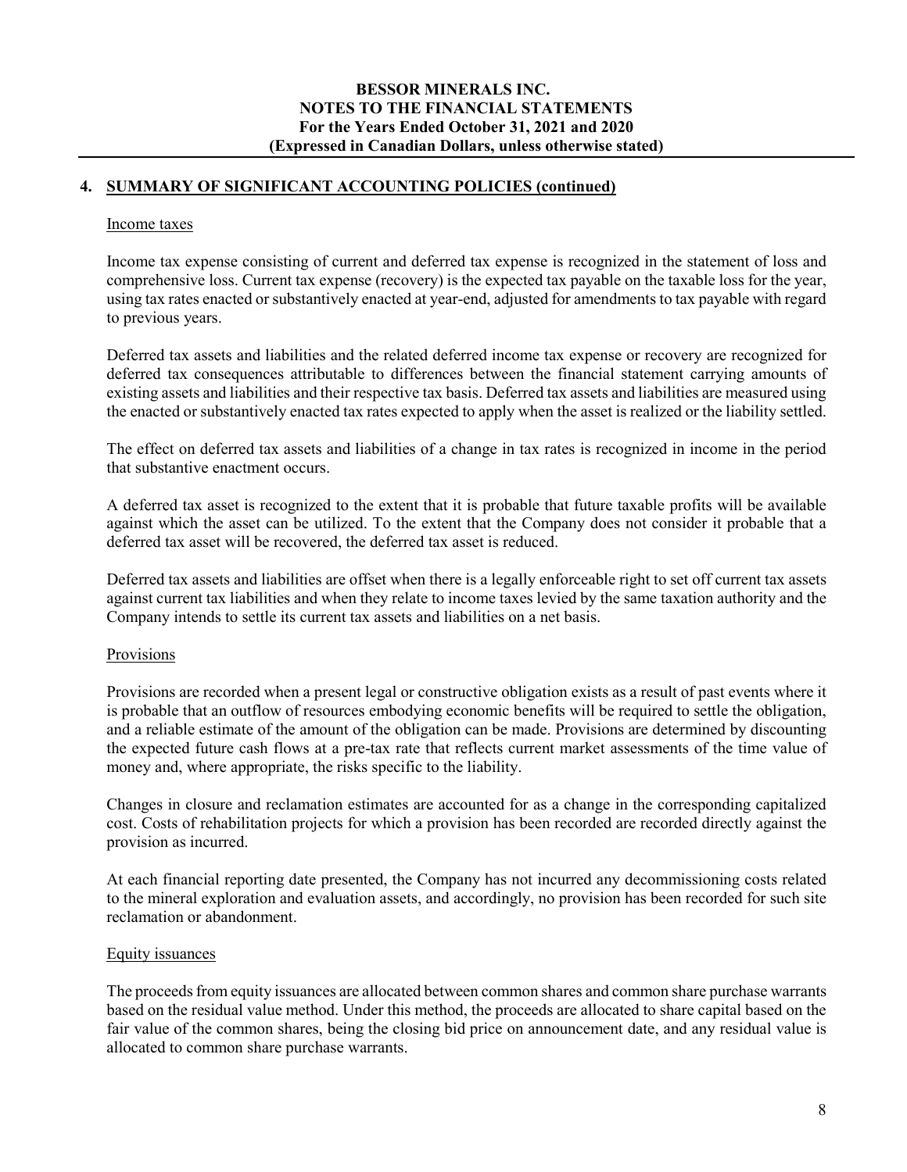# **4. SUMMARY OF SIGNIFICANT ACCOUNTING POLICIES (continued)**

#### Income taxes

Income tax expense consisting of current and deferred tax expense is recognized in the statement of loss and comprehensive loss. Current tax expense (recovery) is the expected tax payable on the taxable loss for the year, using tax rates enacted or substantively enacted at year-end, adjusted for amendments to tax payable with regard to previous years.

Deferred tax assets and liabilities and the related deferred income tax expense or recovery are recognized for deferred tax consequences attributable to differences between the financial statement carrying amounts of existing assets and liabilities and their respective tax basis. Deferred tax assets and liabilities are measured using the enacted or substantively enacted tax rates expected to apply when the asset is realized or the liability settled.

The effect on deferred tax assets and liabilities of a change in tax rates is recognized in income in the period that substantive enactment occurs.

A deferred tax asset is recognized to the extent that it is probable that future taxable profits will be available against which the asset can be utilized. To the extent that the Company does not consider it probable that a deferred tax asset will be recovered, the deferred tax asset is reduced.

Deferred tax assets and liabilities are offset when there is a legally enforceable right to set off current tax assets against current tax liabilities and when they relate to income taxes levied by the same taxation authority and the Company intends to settle its current tax assets and liabilities on a net basis.

#### Provisions

Provisions are recorded when a present legal or constructive obligation exists as a result of past events where it is probable that an outflow of resources embodying economic benefits will be required to settle the obligation, and a reliable estimate of the amount of the obligation can be made. Provisions are determined by discounting the expected future cash flows at a pre-tax rate that reflects current market assessments of the time value of money and, where appropriate, the risks specific to the liability.

Changes in closure and reclamation estimates are accounted for as a change in the corresponding capitalized cost. Costs of rehabilitation projects for which a provision has been recorded are recorded directly against the provision as incurred.

At each financial reporting date presented, the Company has not incurred any decommissioning costs related to the mineral exploration and evaluation assets, and accordingly, no provision has been recorded for such site reclamation or abandonment.

#### Equity issuances

The proceeds from equity issuances are allocated between common shares and common share purchase warrants based on the residual value method. Under this method, the proceeds are allocated to share capital based on the fair value of the common shares, being the closing bid price on announcement date, and any residual value is allocated to common share purchase warrants.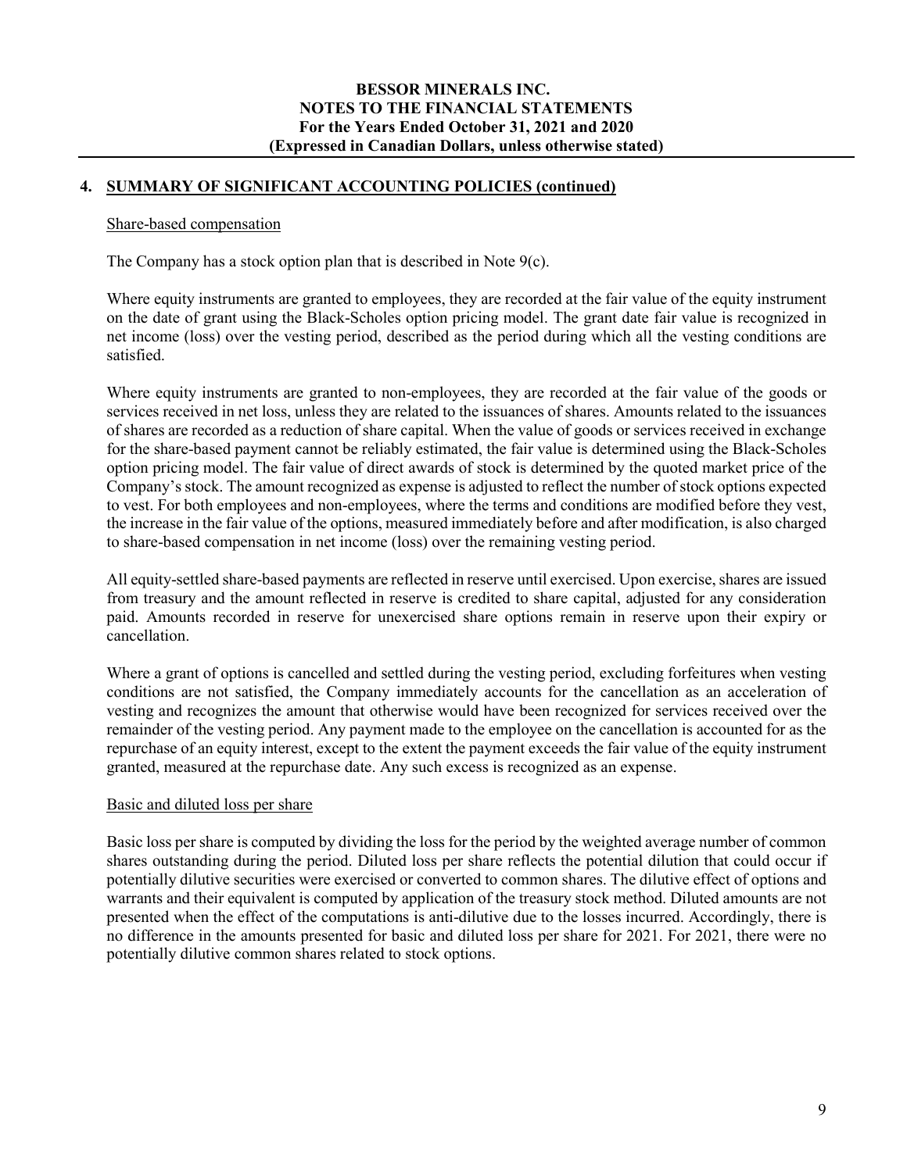### **4. SUMMARY OF SIGNIFICANT ACCOUNTING POLICIES (continued)**

#### Share-based compensation

The Company has a stock option plan that is described in Note 9(c).

Where equity instruments are granted to employees, they are recorded at the fair value of the equity instrument on the date of grant using the Black-Scholes option pricing model. The grant date fair value is recognized in net income (loss) over the vesting period, described as the period during which all the vesting conditions are satisfied.

Where equity instruments are granted to non-employees, they are recorded at the fair value of the goods or services received in net loss, unless they are related to the issuances of shares. Amounts related to the issuances of shares are recorded as a reduction of share capital. When the value of goods or services received in exchange for the share-based payment cannot be reliably estimated, the fair value is determined using the Black-Scholes option pricing model. The fair value of direct awards of stock is determined by the quoted market price of the Company's stock. The amount recognized as expense is adjusted to reflect the number of stock options expected to vest. For both employees and non-employees, where the terms and conditions are modified before they vest, the increase in the fair value of the options, measured immediately before and after modification, is also charged to share-based compensation in net income (loss) over the remaining vesting period.

All equity-settled share-based payments are reflected in reserve until exercised. Upon exercise, shares are issued from treasury and the amount reflected in reserve is credited to share capital, adjusted for any consideration paid. Amounts recorded in reserve for unexercised share options remain in reserve upon their expiry or cancellation.

Where a grant of options is cancelled and settled during the vesting period, excluding forfeitures when vesting conditions are not satisfied, the Company immediately accounts for the cancellation as an acceleration of vesting and recognizes the amount that otherwise would have been recognized for services received over the remainder of the vesting period. Any payment made to the employee on the cancellation is accounted for as the repurchase of an equity interest, except to the extent the payment exceeds the fair value of the equity instrument granted, measured at the repurchase date. Any such excess is recognized as an expense.

#### Basic and diluted loss per share

Basic loss per share is computed by dividing the loss for the period by the weighted average number of common shares outstanding during the period. Diluted loss per share reflects the potential dilution that could occur if potentially dilutive securities were exercised or converted to common shares. The dilutive effect of options and warrants and their equivalent is computed by application of the treasury stock method. Diluted amounts are not presented when the effect of the computations is anti-dilutive due to the losses incurred. Accordingly, there is no difference in the amounts presented for basic and diluted loss per share for 2021. For 2021, there were no potentially dilutive common shares related to stock options.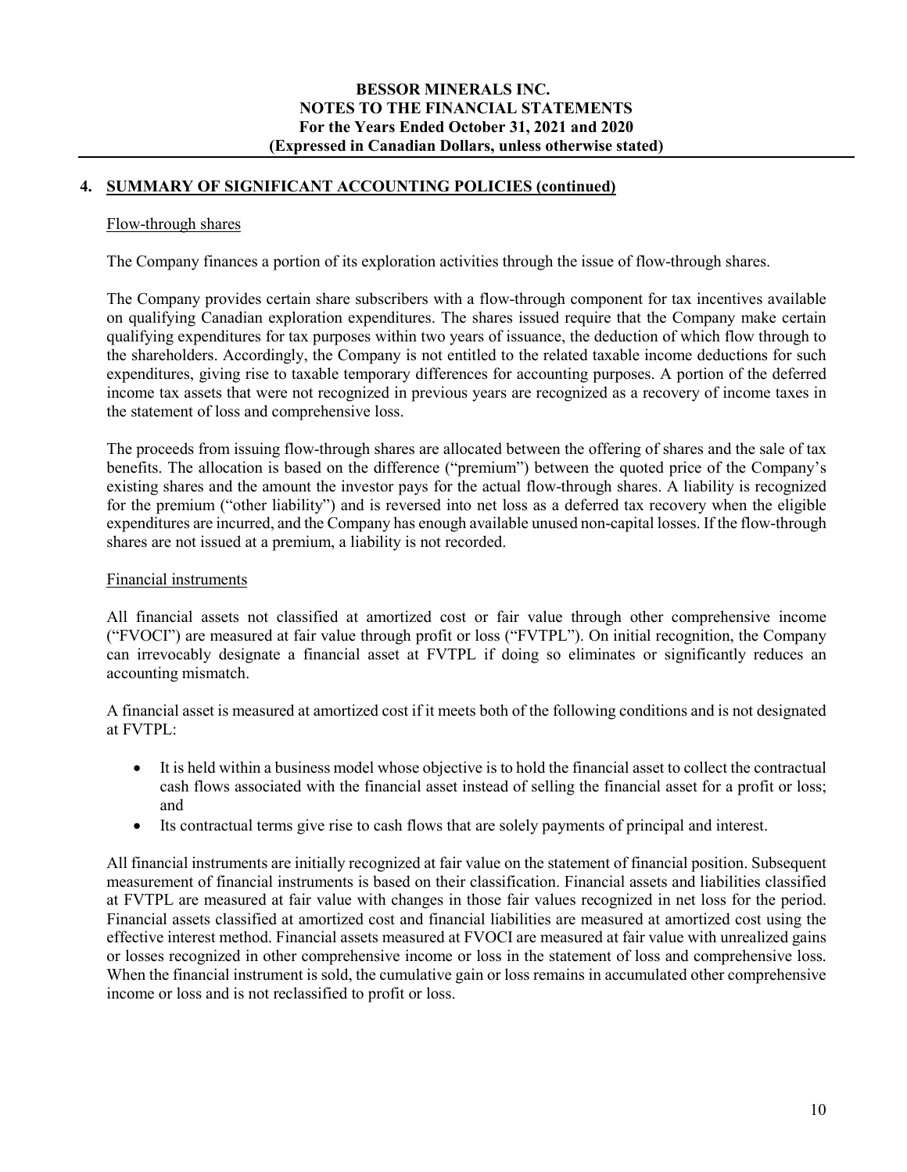# **4. SUMMARY OF SIGNIFICANT ACCOUNTING POLICIES (continued)**

#### Flow-through shares

The Company finances a portion of its exploration activities through the issue of flow-through shares.

The Company provides certain share subscribers with a flow-through component for tax incentives available on qualifying Canadian exploration expenditures. The shares issued require that the Company make certain qualifying expenditures for tax purposes within two years of issuance, the deduction of which flow through to the shareholders. Accordingly, the Company is not entitled to the related taxable income deductions for such expenditures, giving rise to taxable temporary differences for accounting purposes. A portion of the deferred income tax assets that were not recognized in previous years are recognized as a recovery of income taxes in the statement of loss and comprehensive loss.

The proceeds from issuing flow-through shares are allocated between the offering of shares and the sale of tax benefits. The allocation is based on the difference ("premium") between the quoted price of the Company's existing shares and the amount the investor pays for the actual flow-through shares. A liability is recognized for the premium ("other liability") and is reversed into net loss as a deferred tax recovery when the eligible expenditures are incurred, and the Company has enough available unused non-capital losses. If the flow-through shares are not issued at a premium, a liability is not recorded.

#### Financial instruments

All financial assets not classified at amortized cost or fair value through other comprehensive income ("FVOCI") are measured at fair value through profit or loss ("FVTPL"). On initial recognition, the Company can irrevocably designate a financial asset at FVTPL if doing so eliminates or significantly reduces an accounting mismatch.

A financial asset is measured at amortized cost if it meets both of the following conditions and is not designated at FVTPL:

- It is held within a business model whose objective is to hold the financial asset to collect the contractual cash flows associated with the financial asset instead of selling the financial asset for a profit or loss; and
- Its contractual terms give rise to cash flows that are solely payments of principal and interest.

All financial instruments are initially recognized at fair value on the statement of financial position. Subsequent measurement of financial instruments is based on their classification. Financial assets and liabilities classified at FVTPL are measured at fair value with changes in those fair values recognized in net loss for the period. Financial assets classified at amortized cost and financial liabilities are measured at amortized cost using the effective interest method. Financial assets measured at FVOCI are measured at fair value with unrealized gains or losses recognized in other comprehensive income or loss in the statement of loss and comprehensive loss. When the financial instrument is sold, the cumulative gain or loss remains in accumulated other comprehensive income or loss and is not reclassified to profit or loss.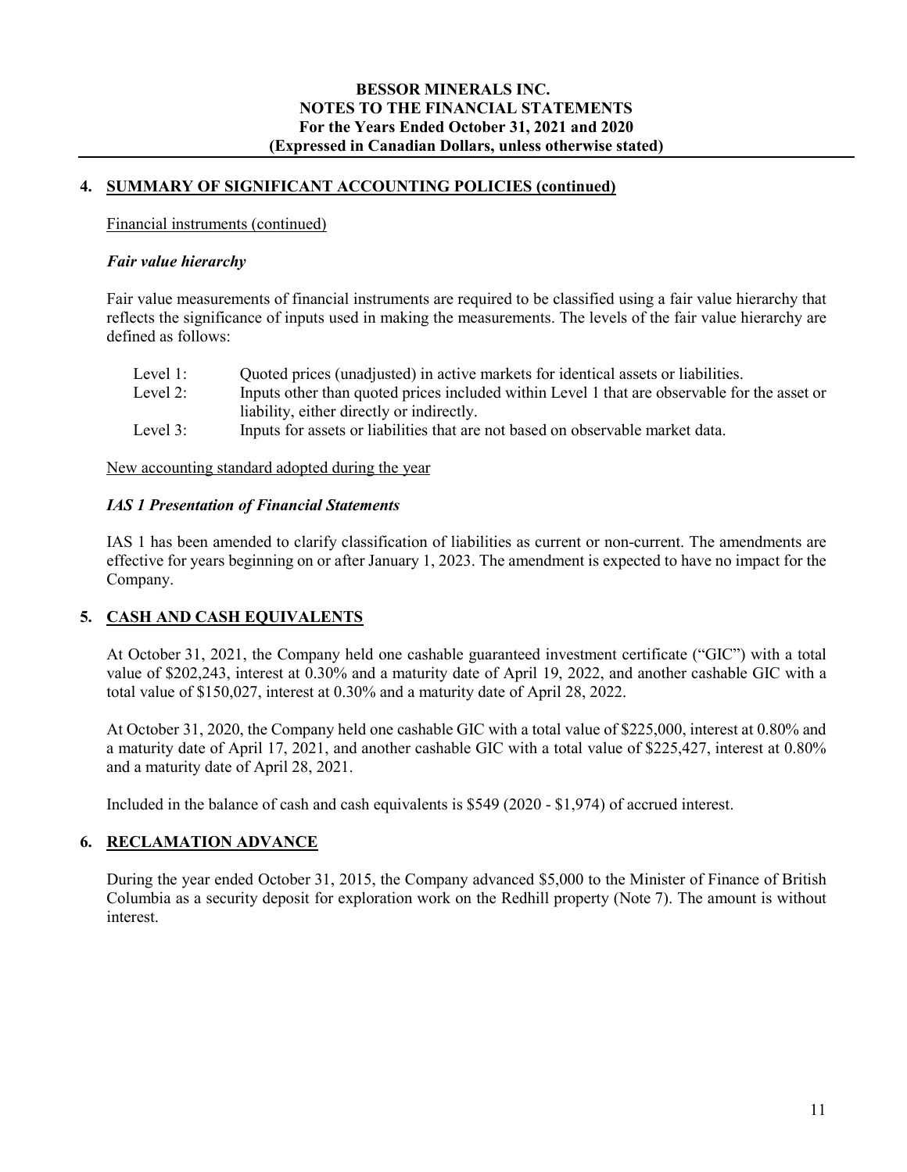# **4. SUMMARY OF SIGNIFICANT ACCOUNTING POLICIES (continued)**

Financial instruments (continued)

#### *Fair value hierarchy*

Fair value measurements of financial instruments are required to be classified using a fair value hierarchy that reflects the significance of inputs used in making the measurements. The levels of the fair value hierarchy are defined as follows:

- Level 1: Quoted prices (unadjusted) in active markets for identical assets or liabilities. Level 2: Inputs other than quoted prices included within Level 1 that are observable for the asset or liability, either directly or indirectly.
- Level 3: Inputs for assets or liabilities that are not based on observable market data.

New accounting standard adopted during the year

### *IAS 1 Presentation of Financial Statements*

IAS 1 has been amended to clarify classification of liabilities as current or non-current. The amendments are effective for years beginning on or after January 1, 2023. The amendment is expected to have no impact for the Company.

### **5. CASH AND CASH EQUIVALENTS**

At October 31, 2021, the Company held one cashable guaranteed investment certificate ("GIC") with a total value of \$202,243, interest at 0.30% and a maturity date of April 19, 2022, and another cashable GIC with a total value of \$150,027, interest at 0.30% and a maturity date of April 28, 2022.

At October 31, 2020, the Company held one cashable GIC with a total value of \$225,000, interest at 0.80% and a maturity date of April 17, 2021, and another cashable GIC with a total value of \$225,427, interest at 0.80% and a maturity date of April 28, 2021.

Included in the balance of cash and cash equivalents is \$549 (2020 - \$1,974) of accrued interest.

### **6. RECLAMATION ADVANCE**

During the year ended October 31, 2015, the Company advanced \$5,000 to the Minister of Finance of British Columbia as a security deposit for exploration work on the Redhill property (Note 7). The amount is without interest.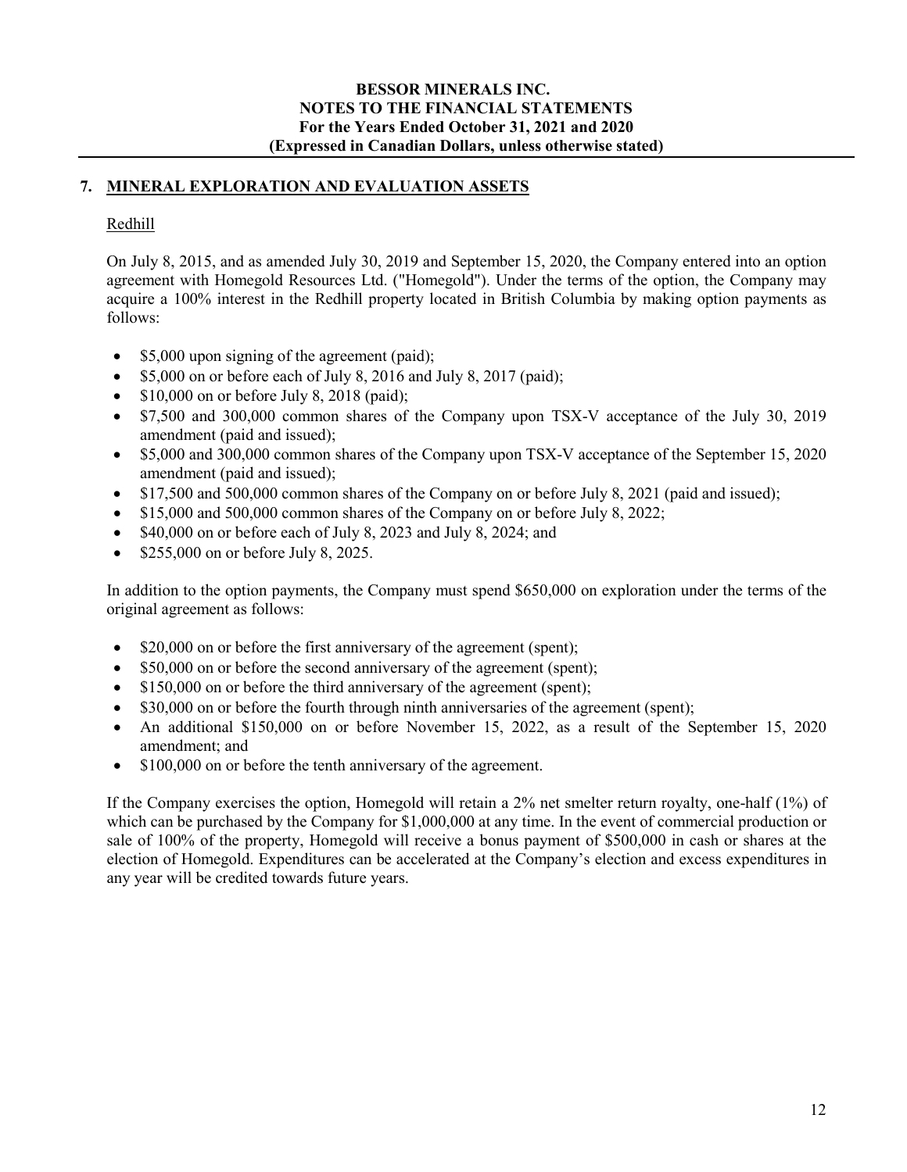# **7. MINERAL EXPLORATION AND EVALUATION ASSETS**

### Redhill

On July 8, 2015, and as amended July 30, 2019 and September 15, 2020, the Company entered into an option agreement with Homegold Resources Ltd. ("Homegold"). Under the terms of the option, the Company may acquire a 100% interest in the Redhill property located in British Columbia by making option payments as follows:

- \$5,000 upon signing of the agreement (paid);
- \$5,000 on or before each of July 8, 2016 and July 8, 2017 (paid);
- $$10,000$  on or before July 8, 2018 (paid);
- \$7,500 and 300,000 common shares of the Company upon TSX-V acceptance of the July 30, 2019 amendment (paid and issued);
- \$5,000 and 300,000 common shares of the Company upon TSX-V acceptance of the September 15, 2020 amendment (paid and issued);
- \$17,500 and 500,000 common shares of the Company on or before July 8, 2021 (paid and issued);
- \$15,000 and 500,000 common shares of the Company on or before July 8, 2022;
- \$40,000 on or before each of July 8, 2023 and July 8, 2024; and
- \$255,000 on or before July 8, 2025.

In addition to the option payments, the Company must spend \$650,000 on exploration under the terms of the original agreement as follows:

- \$20,000 on or before the first anniversary of the agreement (spent);
- \$50,000 on or before the second anniversary of the agreement (spent);
- \$150,000 on or before the third anniversary of the agreement (spent);
- \$30,000 on or before the fourth through ninth anniversaries of the agreement (spent);
- An additional \$150,000 on or before November 15, 2022, as a result of the September 15, 2020 amendment; and
- \$100,000 on or before the tenth anniversary of the agreement.

If the Company exercises the option, Homegold will retain a 2% net smelter return royalty, one-half (1%) of which can be purchased by the Company for \$1,000,000 at any time. In the event of commercial production or sale of 100% of the property, Homegold will receive a bonus payment of \$500,000 in cash or shares at the election of Homegold. Expenditures can be accelerated at the Company's election and excess expenditures in any year will be credited towards future years.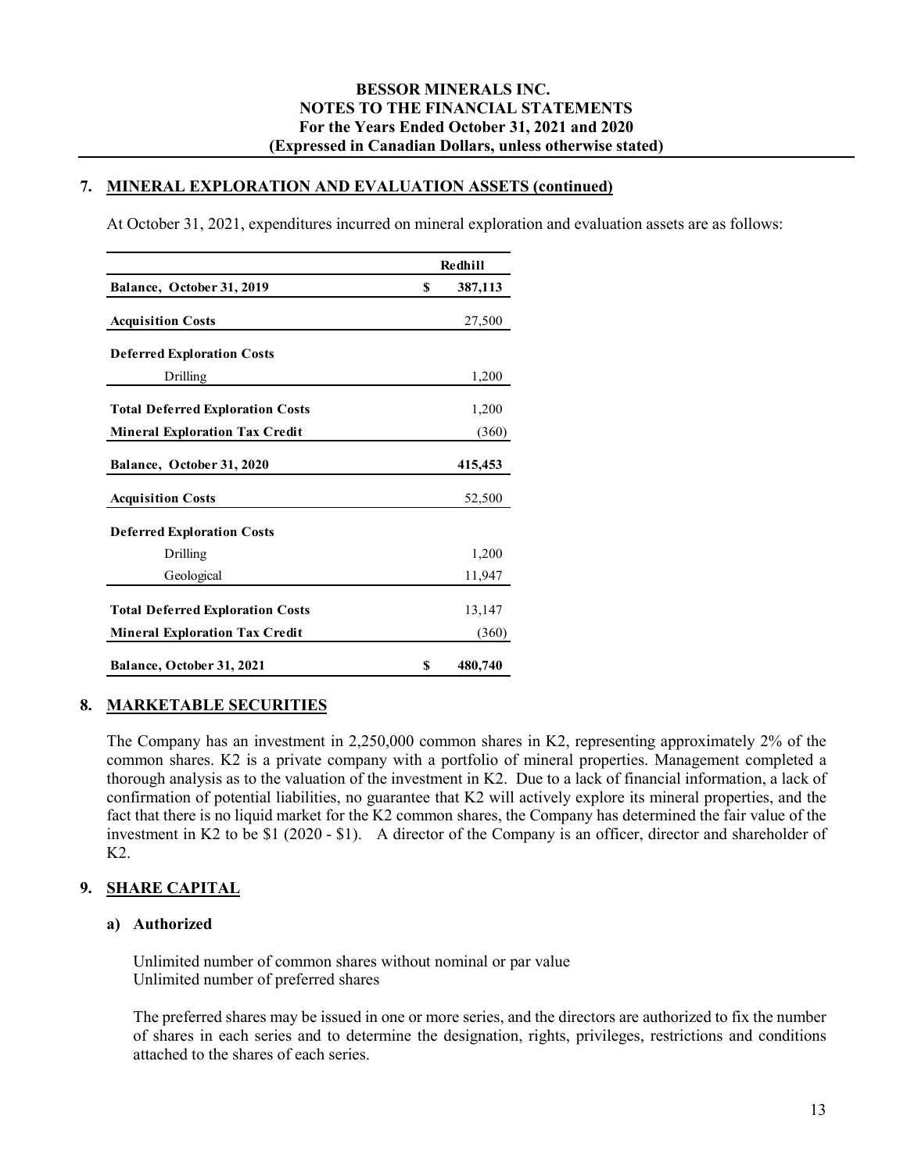### **7. MINERAL EXPLORATION AND EVALUATION ASSETS (continued)**

At October 31, 2021, expenditures incurred on mineral exploration and evaluation assets are as follows:

|                                         |    | Redhill |
|-----------------------------------------|----|---------|
| Balance, October 31, 2019               | S  | 387,113 |
| <b>Acquisition Costs</b>                |    | 27,500  |
| <b>Deferred Exploration Costs</b>       |    |         |
| Drilling                                |    | 1,200   |
| <b>Total Deferred Exploration Costs</b> |    | 1,200   |
| <b>Mineral Exploration Tax Credit</b>   |    | (360)   |
| Balance, October 31, 2020               |    | 415,453 |
| <b>Acquisition Costs</b>                |    | 52,500  |
| <b>Deferred Exploration Costs</b>       |    |         |
| Drilling                                |    | 1,200   |
| Geological                              |    | 11,947  |
| <b>Total Deferred Exploration Costs</b> |    | 13,147  |
| <b>Mineral Exploration Tax Credit</b>   |    | (360)   |
| Balance, October 31, 2021               | \$ | 480,740 |

#### **8. MARKETABLE SECURITIES**

The Company has an investment in 2,250,000 common shares in K2, representing approximately 2% of the common shares. K2 is a private company with a portfolio of mineral properties. Management completed a thorough analysis as to the valuation of the investment in K2. Due to a lack of financial information, a lack of confirmation of potential liabilities, no guarantee that K2 will actively explore its mineral properties, and the fact that there is no liquid market for the K2 common shares, the Company has determined the fair value of the investment in K2 to be \$1 (2020 - \$1). A director of the Company is an officer, director and shareholder of K2.

### **9. SHARE CAPITAL**

#### **a) Authorized**

Unlimited number of common shares without nominal or par value Unlimited number of preferred shares

The preferred shares may be issued in one or more series, and the directors are authorized to fix the number of shares in each series and to determine the designation, rights, privileges, restrictions and conditions attached to the shares of each series.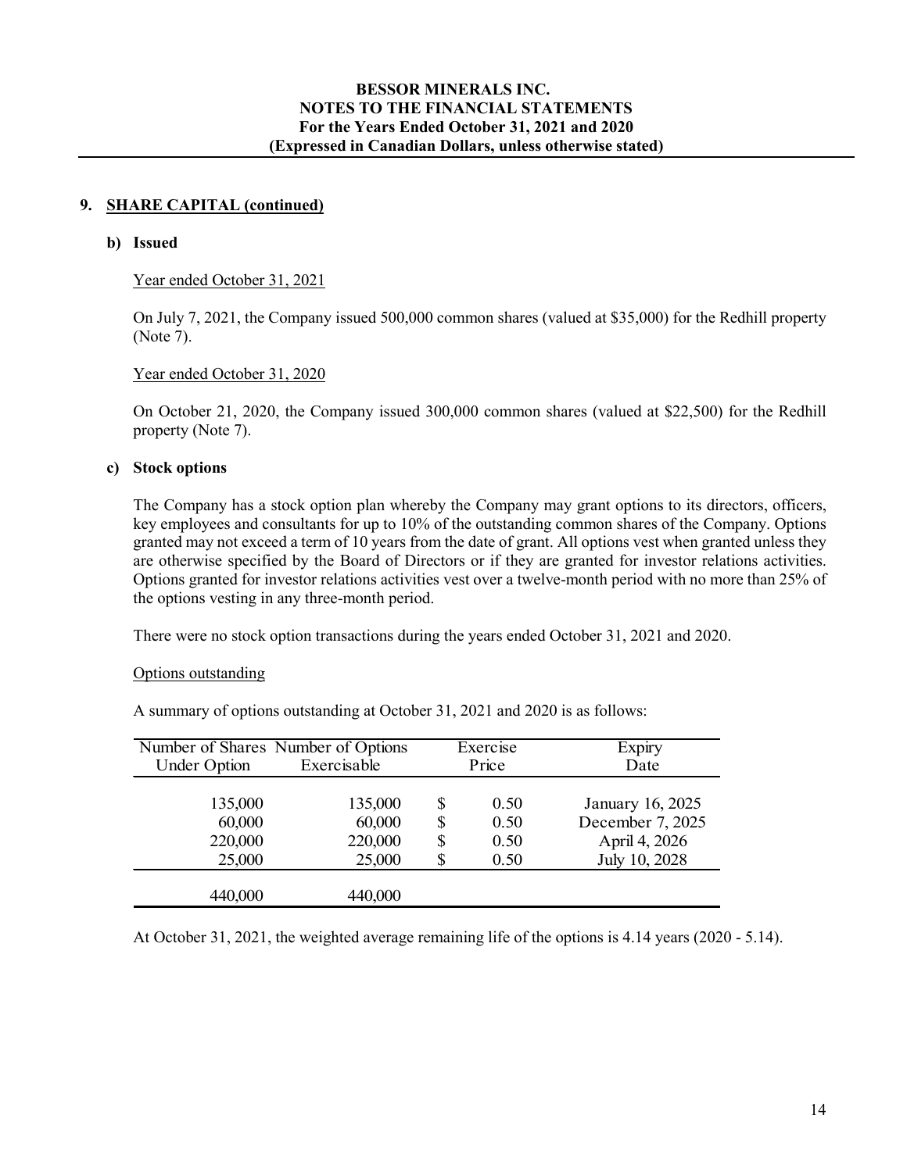### **9. SHARE CAPITAL (continued)**

#### **b) Issued**

#### Year ended October 31, 2021

On July 7, 2021, the Company issued 500,000 common shares (valued at \$35,000) for the Redhill property (Note 7).

#### Year ended October 31, 2020

On October 21, 2020, the Company issued 300,000 common shares (valued at \$22,500) for the Redhill property (Note 7).

#### **c) Stock options**

The Company has a stock option plan whereby the Company may grant options to its directors, officers, key employees and consultants for up to 10% of the outstanding common shares of the Company. Options granted may not exceed a term of 10 years from the date of grant. All options vest when granted unless they are otherwise specified by the Board of Directors or if they are granted for investor relations activities. Options granted for investor relations activities vest over a twelve-month period with no more than 25% of the options vesting in any three-month period.

There were no stock option transactions during the years ended October 31, 2021 and 2020.

#### Options outstanding

A summary of options outstanding at October 31, 2021 and 2020 is as follows:

| <b>Under Option</b> | Number of Shares Number of Options<br>Exercisable |    | Exercise<br>Price | Expiry<br>Date   |
|---------------------|---------------------------------------------------|----|-------------------|------------------|
|                     |                                                   |    |                   |                  |
| 135,000             | 135,000                                           | S  | 0.50              | January 16, 2025 |
| 60,000              | 60,000                                            | \$ | 0.50              | December 7, 2025 |
| 220,000             | 220,000                                           | \$ | 0.50              | April 4, 2026    |
| 25,000              | 25,000                                            |    | 0.50              | July 10, 2028    |
|                     |                                                   |    |                   |                  |
| 440,000             | 440,000                                           |    |                   |                  |

At October 31, 2021, the weighted average remaining life of the options is 4.14 years (2020 - 5.14).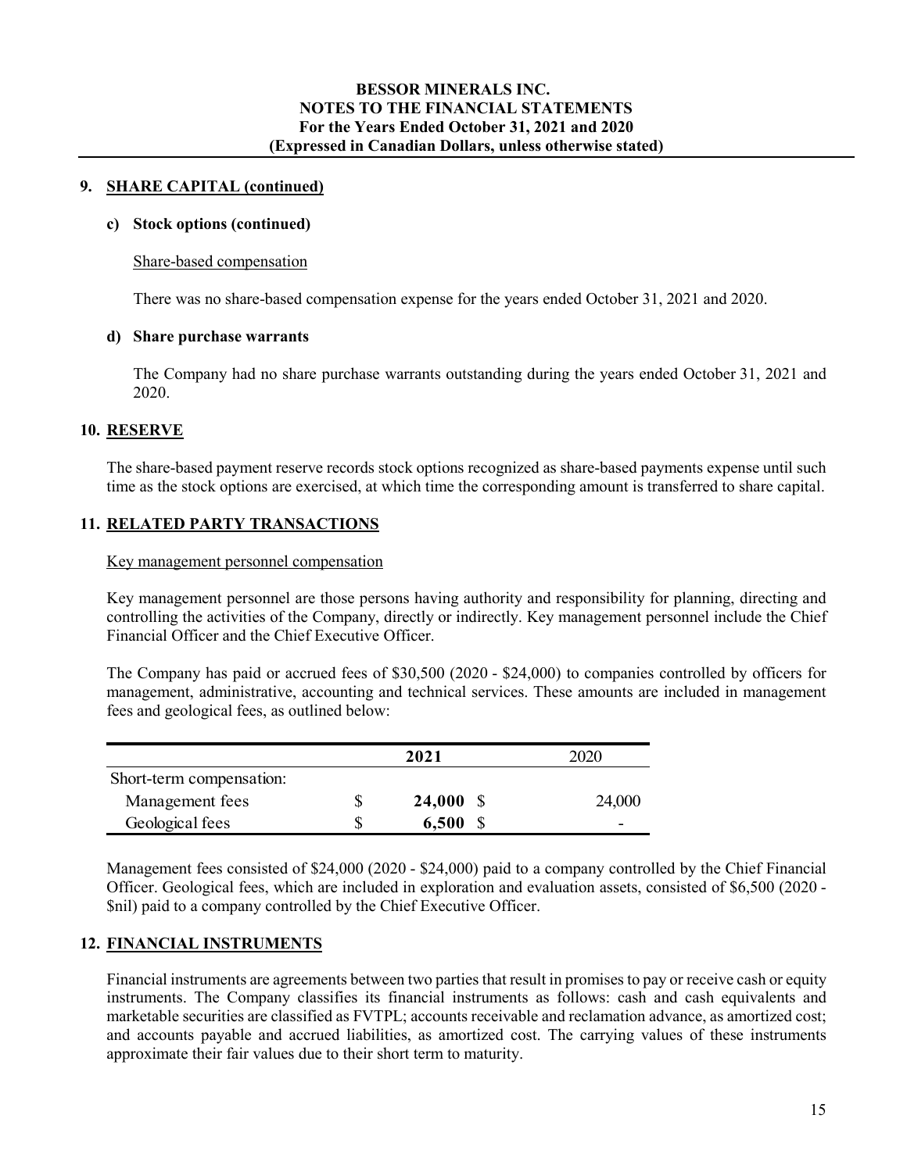#### **9. SHARE CAPITAL (continued)**

#### **c) Stock options (continued)**

#### Share-based compensation

There was no share-based compensation expense for the years ended October 31, 2021 and 2020.

#### **d) Share purchase warrants**

The Company had no share purchase warrants outstanding during the years ended October 31, 2021 and 2020.

#### **10. RESERVE**

The share-based payment reserve records stock options recognized as share-based payments expense until such time as the stock options are exercised, at which time the corresponding amount is transferred to share capital.

### **11. RELATED PARTY TRANSACTIONS**

#### Key management personnel compensation

Key management personnel are those persons having authority and responsibility for planning, directing and controlling the activities of the Company, directly or indirectly. Key management personnel include the Chief Financial Officer and the Chief Executive Officer.

The Company has paid or accrued fees of \$30,500 (2020 - \$24,000) to companies controlled by officers for management, administrative, accounting and technical services. These amounts are included in management fees and geological fees, as outlined below:

|                          | 2021                 | 2020 |        |  |
|--------------------------|----------------------|------|--------|--|
| Short-term compensation: |                      |      |        |  |
| Management fees          | $24,000 \text{ }$ \$ |      | 24,000 |  |
| Geological fees          | 6,500                |      | -      |  |

Management fees consisted of \$24,000 (2020 - \$24,000) paid to a company controlled by the Chief Financial Officer. Geological fees, which are included in exploration and evaluation assets, consisted of \$6,500 (2020 - \$nil) paid to a company controlled by the Chief Executive Officer.

### **12. FINANCIAL INSTRUMENTS**

Financial instruments are agreements between two parties that result in promises to pay or receive cash or equity instruments. The Company classifies its financial instruments as follows: cash and cash equivalents and marketable securities are classified as FVTPL; accounts receivable and reclamation advance, as amortized cost; and accounts payable and accrued liabilities, as amortized cost. The carrying values of these instruments approximate their fair values due to their short term to maturity.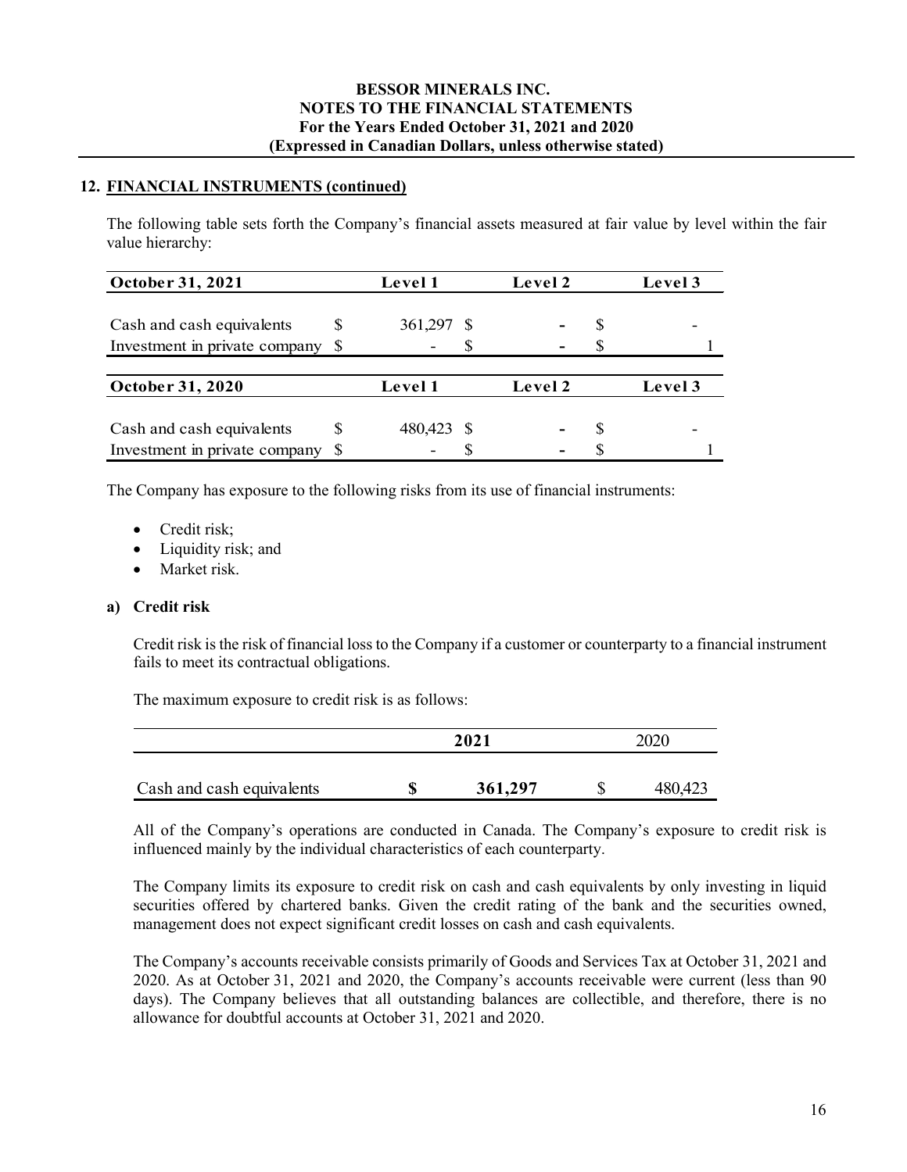### **12. FINANCIAL INSTRUMENTS (continued)**

The following table sets forth the Company's financial assets measured at fair value by level within the fair value hierarchy:

| October 31, 2021              |    | Level 1        | Level 2 | Level 3 |
|-------------------------------|----|----------------|---------|---------|
| Cash and cash equivalents     |    | 361,297        |         |         |
| Investment in private company |    |                |         |         |
| October 31, 2020              |    | <b>Level 1</b> | Level 2 | Level 3 |
| Cash and cash equivalents     | S  | 480,423        |         |         |
| Investment in private company | -S |                |         |         |

The Company has exposure to the following risks from its use of financial instruments:

- Credit risk;
- Liquidity risk; and
- Market risk.

#### **a) Credit risk**

Credit risk is the risk of financial loss to the Company if a customer or counterparty to a financial instrument fails to meet its contractual obligations.

The maximum exposure to credit risk is as follows:

|                           | 2021    |  |         |  |  |
|---------------------------|---------|--|---------|--|--|
|                           |         |  |         |  |  |
| Cash and cash equivalents | 361,297 |  | 480,423 |  |  |

All of the Company's operations are conducted in Canada. The Company's exposure to credit risk is influenced mainly by the individual characteristics of each counterparty.

The Company limits its exposure to credit risk on cash and cash equivalents by only investing in liquid securities offered by chartered banks. Given the credit rating of the bank and the securities owned, management does not expect significant credit losses on cash and cash equivalents.

The Company's accounts receivable consists primarily of Goods and Services Tax at October 31, 2021 and 2020. As at October 31, 2021 and 2020, the Company's accounts receivable were current (less than 90 days). The Company believes that all outstanding balances are collectible, and therefore, there is no allowance for doubtful accounts at October 31, 2021 and 2020.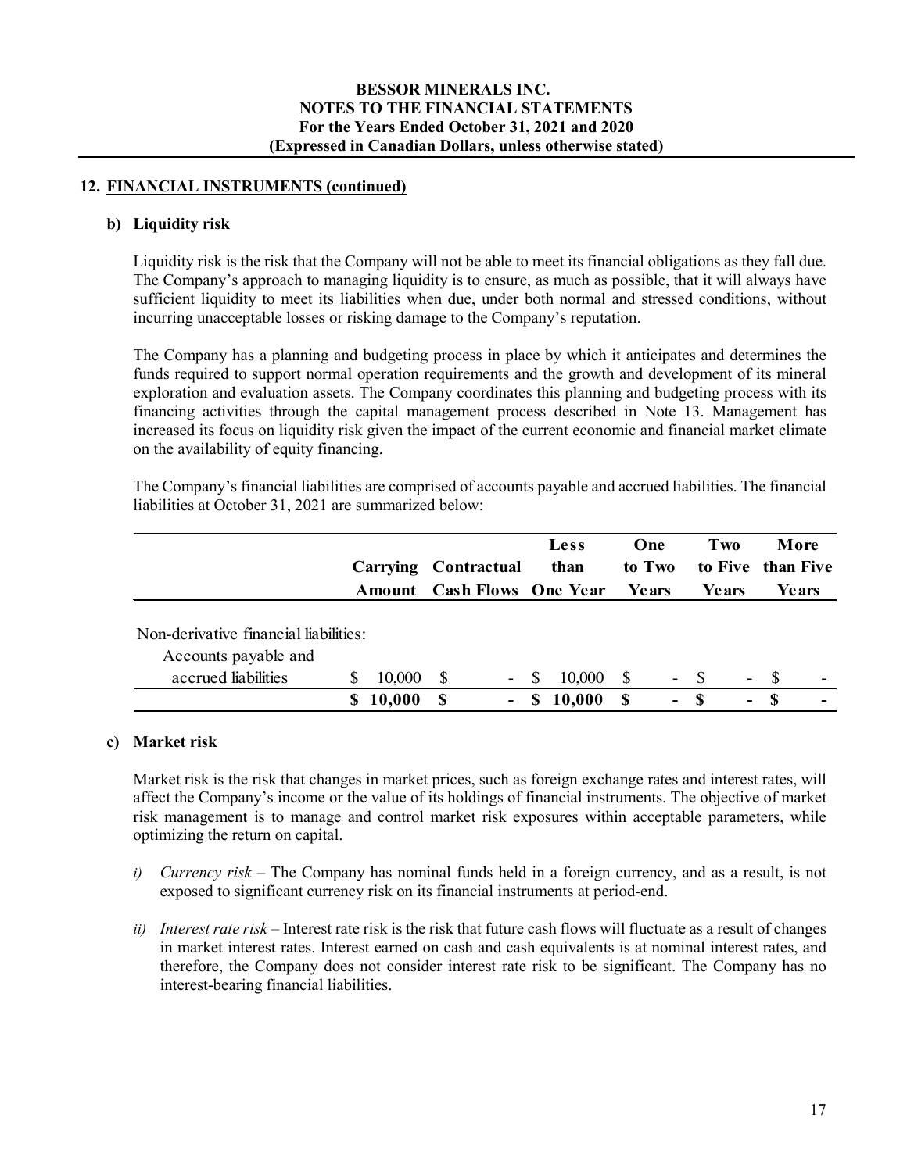### **12. FINANCIAL INSTRUMENTS (continued)**

#### **b) Liquidity risk**

Liquidity risk is the risk that the Company will not be able to meet its financial obligations as they fall due. The Company's approach to managing liquidity is to ensure, as much as possible, that it will always have sufficient liquidity to meet its liabilities when due, under both normal and stressed conditions, without incurring unacceptable losses or risking damage to the Company's reputation.

The Company has a planning and budgeting process in place by which it anticipates and determines the funds required to support normal operation requirements and the growth and development of its mineral exploration and evaluation assets. The Company coordinates this planning and budgeting process with its financing activities through the capital management process described in Note 13. Management has increased its focus on liquidity risk given the impact of the current economic and financial market climate on the availability of equity financing.

The Company's financial liabilities are comprised of accounts payable and accrued liabilities. The financial liabilities at October 31, 2021 are summarized below:

|                                             |   |        |    | Carrying Contractual<br><b>Amount</b> Cash Flows One Year |   | Less<br>than | One<br>to Two<br>Years |                          | Two<br>to Five than Five<br><b>Years</b> | More | Years |
|---------------------------------------------|---|--------|----|-----------------------------------------------------------|---|--------------|------------------------|--------------------------|------------------------------------------|------|-------|
| Non-derivative financial liabilities:       |   |        |    |                                                           |   |              |                        |                          |                                          |      |       |
| Accounts payable and<br>accrued liabilities | S | 10,000 | -S | $\blacksquare$                                            | S | 10,000       | -S                     | $\overline{\phantom{a}}$ | - S<br>$\overline{\phantom{a}}$          | - S  |       |
|                                             |   | 10,000 | S  | $\blacksquare$                                            |   | 10,000       | -S                     | $\blacksquare$           | - \$<br>۰.                               | -8   |       |

#### **c) Market risk**

Market risk is the risk that changes in market prices, such as foreign exchange rates and interest rates, will affect the Company's income or the value of its holdings of financial instruments. The objective of market risk management is to manage and control market risk exposures within acceptable parameters, while optimizing the return on capital.

- *i) Currency risk –* The Company has nominal funds held in a foreign currency, and as a result, is not exposed to significant currency risk on its financial instruments at period-end.
- *ii) Interest rate risk –* Interest rate risk is the risk that future cash flows will fluctuate as a result of changes in market interest rates. Interest earned on cash and cash equivalents is at nominal interest rates, and therefore, the Company does not consider interest rate risk to be significant. The Company has no interest-bearing financial liabilities.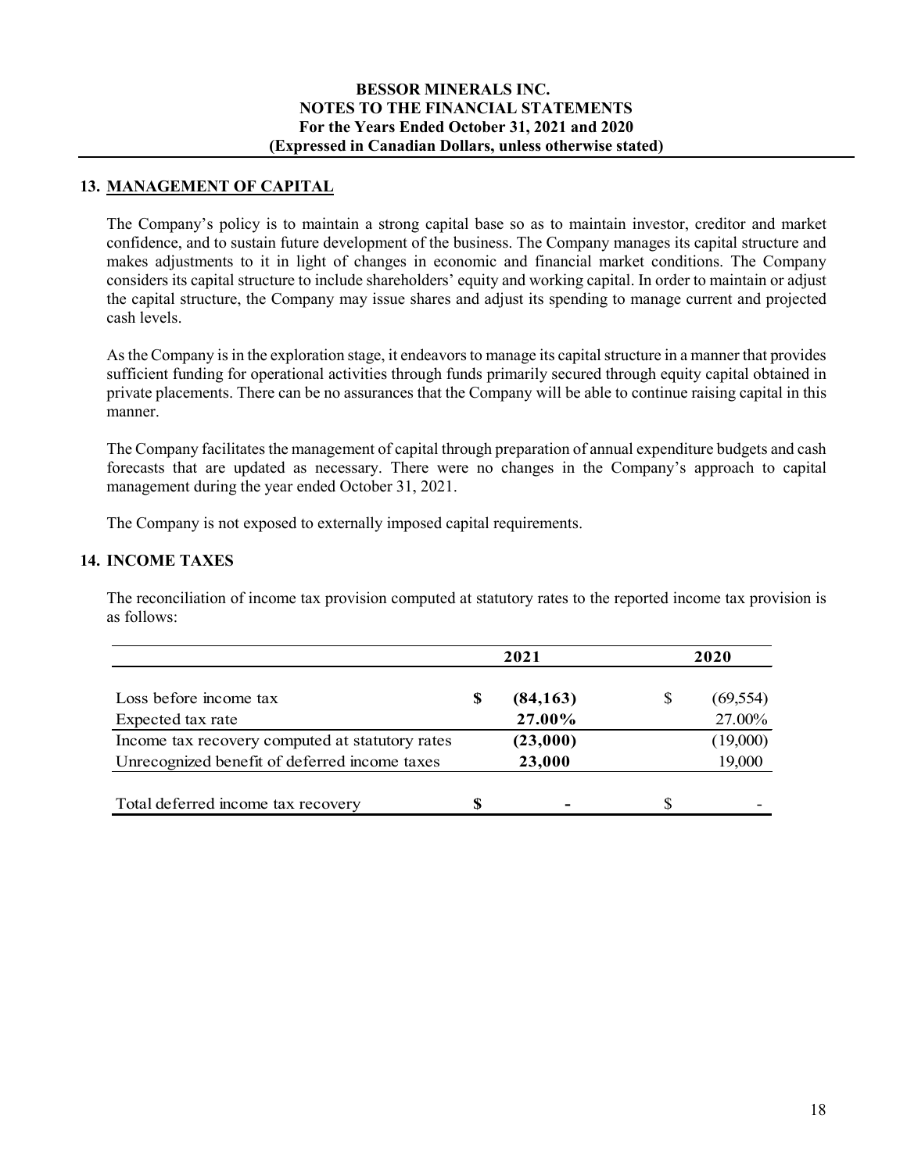### **13. MANAGEMENT OF CAPITAL**

The Company's policy is to maintain a strong capital base so as to maintain investor, creditor and market confidence, and to sustain future development of the business. The Company manages its capital structure and makes adjustments to it in light of changes in economic and financial market conditions. The Company considers its capital structure to include shareholders' equity and working capital. In order to maintain or adjust the capital structure, the Company may issue shares and adjust its spending to manage current and projected cash levels.

As the Company is in the exploration stage, it endeavors to manage its capital structure in a manner that provides sufficient funding for operational activities through funds primarily secured through equity capital obtained in private placements. There can be no assurances that the Company will be able to continue raising capital in this manner.

The Company facilitates the management of capital through preparation of annual expenditure budgets and cash forecasts that are updated as necessary. There were no changes in the Company's approach to capital management during the year ended October 31, 2021.

The Company is not exposed to externally imposed capital requirements.

### **14. INCOME TAXES**

The reconciliation of income tax provision computed at statutory rates to the reported income tax provision is as follows:

|                                                 |   | 2021      | 2020 |           |  |  |
|-------------------------------------------------|---|-----------|------|-----------|--|--|
| Loss before income tax                          | S | (84, 163) |      | (69, 554) |  |  |
| Expected tax rate                               |   | 27.00%    |      | 27.00%    |  |  |
| Income tax recovery computed at statutory rates |   | (23,000)  |      | (19,000)  |  |  |
| Unrecognized benefit of deferred income taxes   |   | 23,000    |      | 19,000    |  |  |
| Total deferred income tax recovery              |   |           |      |           |  |  |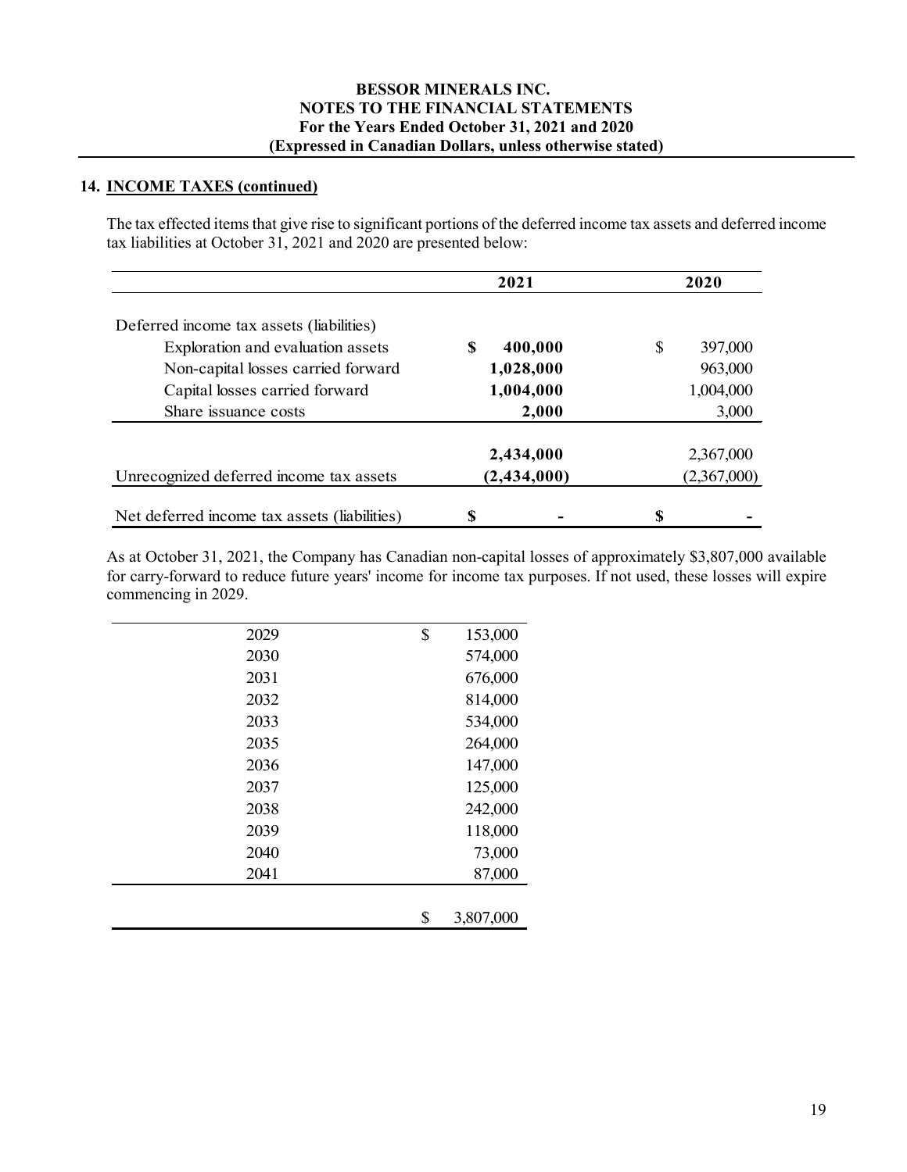#### **14. INCOME TAXES (continued)**

The tax effected items that give rise to significant portions of the deferred income tax assets and deferred income tax liabilities at October 31, 2021 and 2020 are presented below:

|                                              | 2021          |    | 2020        |
|----------------------------------------------|---------------|----|-------------|
| Deferred income tax assets (liabilities)     |               |    |             |
| Exploration and evaluation assets            | 400,000<br>S  | \$ | 397,000     |
| Non-capital losses carried forward           | 1,028,000     |    | 963,000     |
| Capital losses carried forward               | 1,004,000     |    | 1,004,000   |
| Share issuance costs                         | 2,000         |    | 3,000       |
|                                              | 2,434,000     |    | 2,367,000   |
| Unrecognized deferred income tax assets      | (2, 434, 000) |    | (2,367,000) |
| Net deferred income tax assets (liabilities) | S             | S  |             |

As at October 31, 2021, the Company has Canadian non-capital losses of approximately \$3,807,000 available for carry-forward to reduce future years' income for income tax purposes. If not used, these losses will expire commencing in 2029.

| 2029 | \$<br>153,000   |
|------|-----------------|
| 2030 | 574,000         |
| 2031 | 676,000         |
| 2032 | 814,000         |
| 2033 | 534,000         |
| 2035 | 264,000         |
| 2036 | 147,000         |
| 2037 | 125,000         |
| 2038 | 242,000         |
| 2039 | 118,000         |
| 2040 | 73,000          |
| 2041 | 87,000          |
|      |                 |
|      | \$<br>3,807,000 |
|      |                 |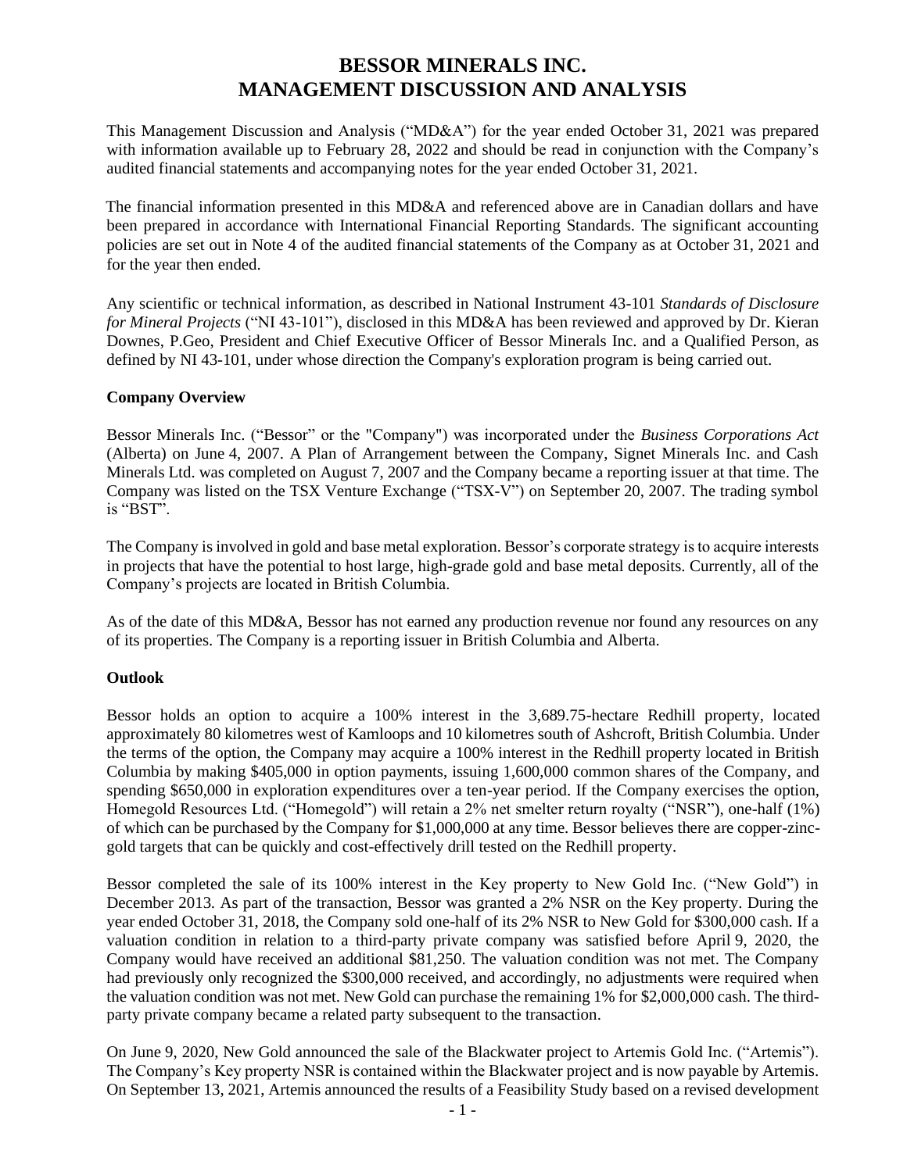# **BESSOR MINERALS INC. MANAGEMENT DISCUSSION AND ANALYSIS**

This Management Discussion and Analysis ("MD&A") for the year ended October 31, 2021 was prepared with information available up to February 28, 2022 and should be read in conjunction with the Company's audited financial statements and accompanying notes for the year ended October 31, 2021.

The financial information presented in this MD&A and referenced above are in Canadian dollars and have been prepared in accordance with International Financial Reporting Standards. The significant accounting policies are set out in Note 4 of the audited financial statements of the Company as at October 31, 2021 and for the year then ended.

Any scientific or technical information, as described in National Instrument 43-101 *Standards of Disclosure for Mineral Projects* ("NI 43-101"), disclosed in this MD&A has been reviewed and approved by Dr. Kieran Downes, P.Geo, President and Chief Executive Officer of Bessor Minerals Inc. and a Qualified Person, as defined by NI 43-101, under whose direction the Company's exploration program is being carried out.

#### **Company Overview**

Bessor Minerals Inc. ("Bessor" or the "Company") was incorporated under the *Business Corporations Act* (Alberta) on June 4, 2007. A Plan of Arrangement between the Company, Signet Minerals Inc. and Cash Minerals Ltd. was completed on August 7, 2007 and the Company became a reporting issuer at that time. The Company was listed on the TSX Venture Exchange ("TSX-V") on September 20, 2007. The trading symbol is "BST".

The Company is involved in gold and base metal exploration. Bessor's corporate strategy is to acquire interests in projects that have the potential to host large, high-grade gold and base metal deposits. Currently, all of the Company's projects are located in British Columbia.

As of the date of this MD&A, Bessor has not earned any production revenue nor found any resources on any of its properties. The Company is a reporting issuer in British Columbia and Alberta.

### **Outlook**

Bessor holds an option to acquire a 100% interest in the 3,689.75-hectare Redhill property, located approximately 80 kilometres west of Kamloops and 10 kilometres south of Ashcroft, British Columbia. Under the terms of the option, the Company may acquire a 100% interest in the Redhill property located in British Columbia by making \$405,000 in option payments, issuing 1,600,000 common shares of the Company, and spending \$650,000 in exploration expenditures over a ten-year period. If the Company exercises the option, Homegold Resources Ltd. ("Homegold") will retain a 2% net smelter return royalty ("NSR"), one-half (1%) of which can be purchased by the Company for \$1,000,000 at any time. Bessor believes there are copper-zincgold targets that can be quickly and cost-effectively drill tested on the Redhill property.

Bessor completed the sale of its 100% interest in the Key property to New Gold Inc. ("New Gold") in December 2013. As part of the transaction, Bessor was granted a 2% NSR on the Key property. During the year ended October 31, 2018, the Company sold one-half of its 2% NSR to New Gold for \$300,000 cash. If a valuation condition in relation to a third-party private company was satisfied before April 9, 2020, the Company would have received an additional \$81,250. The valuation condition was not met. The Company had previously only recognized the \$300,000 received, and accordingly, no adjustments were required when the valuation condition was not met. New Gold can purchase the remaining 1% for \$2,000,000 cash. The thirdparty private company became a related party subsequent to the transaction.

On June 9, 2020, New Gold announced the sale of the Blackwater project to Artemis Gold Inc. ("Artemis"). The Company's Key property NSR is contained within the Blackwater project and is now payable by Artemis. On September 13, 2021, Artemis announced the results of a Feasibility Study based on a revised development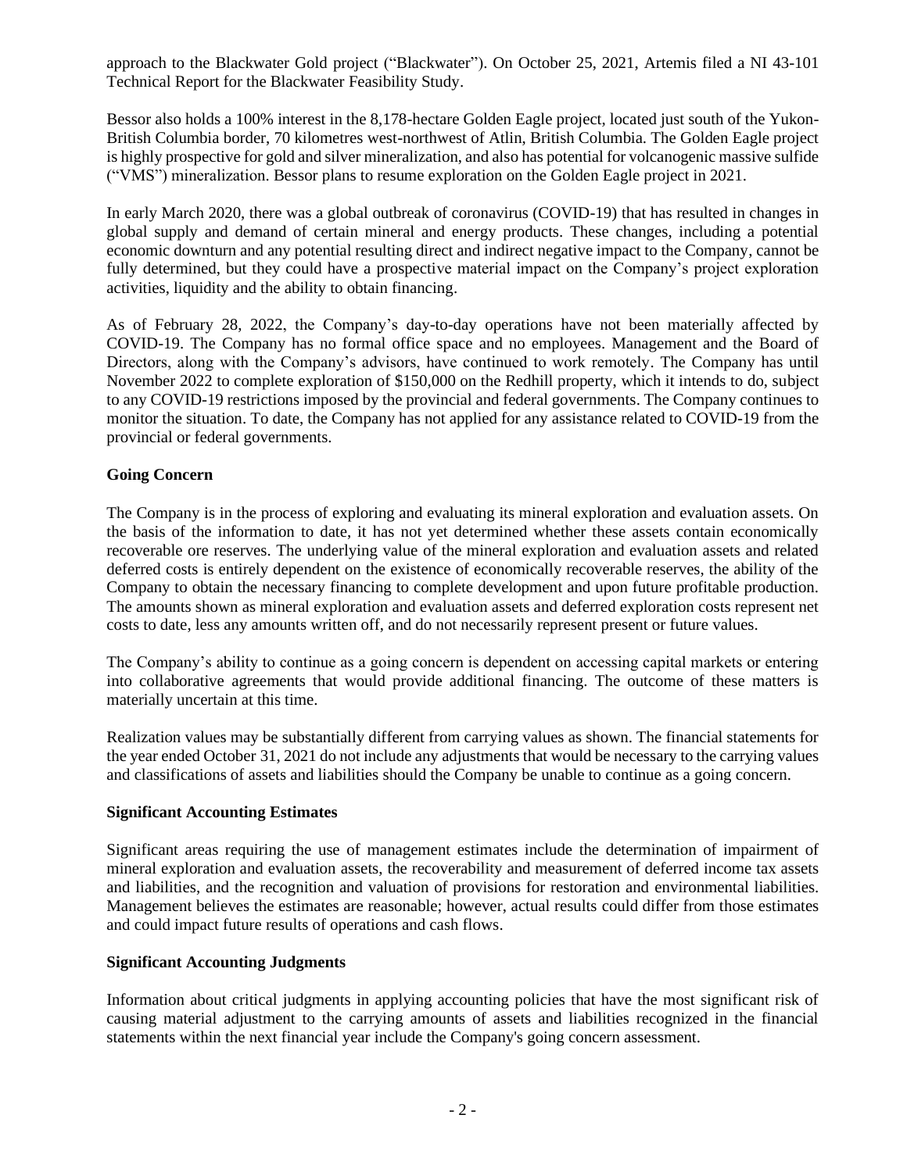approach to the Blackwater Gold project ("Blackwater"). On October 25, 2021, Artemis filed a NI 43-101 Technical Report for the Blackwater Feasibility Study.

Bessor also holds a 100% interest in the 8,178-hectare Golden Eagle project, located just south of the Yukon-British Columbia border, 70 kilometres west-northwest of Atlin, British Columbia. The Golden Eagle project is highly prospective for gold and silver mineralization, and also has potential for volcanogenic massive sulfide ("VMS") mineralization. Bessor plans to resume exploration on the Golden Eagle project in 2021.

In early March 2020, there was a global outbreak of coronavirus (COVID-19) that has resulted in changes in global supply and demand of certain mineral and energy products. These changes, including a potential economic downturn and any potential resulting direct and indirect negative impact to the Company, cannot be fully determined, but they could have a prospective material impact on the Company's project exploration activities, liquidity and the ability to obtain financing.

As of February 28, 2022, the Company's day-to-day operations have not been materially affected by COVID-19. The Company has no formal office space and no employees. Management and the Board of Directors, along with the Company's advisors, have continued to work remotely. The Company has until November 2022 to complete exploration of \$150,000 on the Redhill property, which it intends to do, subject to any COVID-19 restrictions imposed by the provincial and federal governments. The Company continues to monitor the situation. To date, the Company has not applied for any assistance related to COVID-19 from the provincial or federal governments.

#### **Going Concern**

The Company is in the process of exploring and evaluating its mineral exploration and evaluation assets. On the basis of the information to date, it has not yet determined whether these assets contain economically recoverable ore reserves. The underlying value of the mineral exploration and evaluation assets and related deferred costs is entirely dependent on the existence of economically recoverable reserves, the ability of the Company to obtain the necessary financing to complete development and upon future profitable production. The amounts shown as mineral exploration and evaluation assets and deferred exploration costs represent net costs to date, less any amounts written off, and do not necessarily represent present or future values.

The Company's ability to continue as a going concern is dependent on accessing capital markets or entering into collaborative agreements that would provide additional financing. The outcome of these matters is materially uncertain at this time.

Realization values may be substantially different from carrying values as shown. The financial statements for the year ended October 31, 2021 do not include any adjustments that would be necessary to the carrying values and classifications of assets and liabilities should the Company be unable to continue as a going concern.

#### **Significant Accounting Estimates**

Significant areas requiring the use of management estimates include the determination of impairment of mineral exploration and evaluation assets, the recoverability and measurement of deferred income tax assets and liabilities, and the recognition and valuation of provisions for restoration and environmental liabilities. Management believes the estimates are reasonable; however, actual results could differ from those estimates and could impact future results of operations and cash flows.

#### **Significant Accounting Judgments**

Information about critical judgments in applying accounting policies that have the most significant risk of causing material adjustment to the carrying amounts of assets and liabilities recognized in the financial statements within the next financial year include the Company's going concern assessment.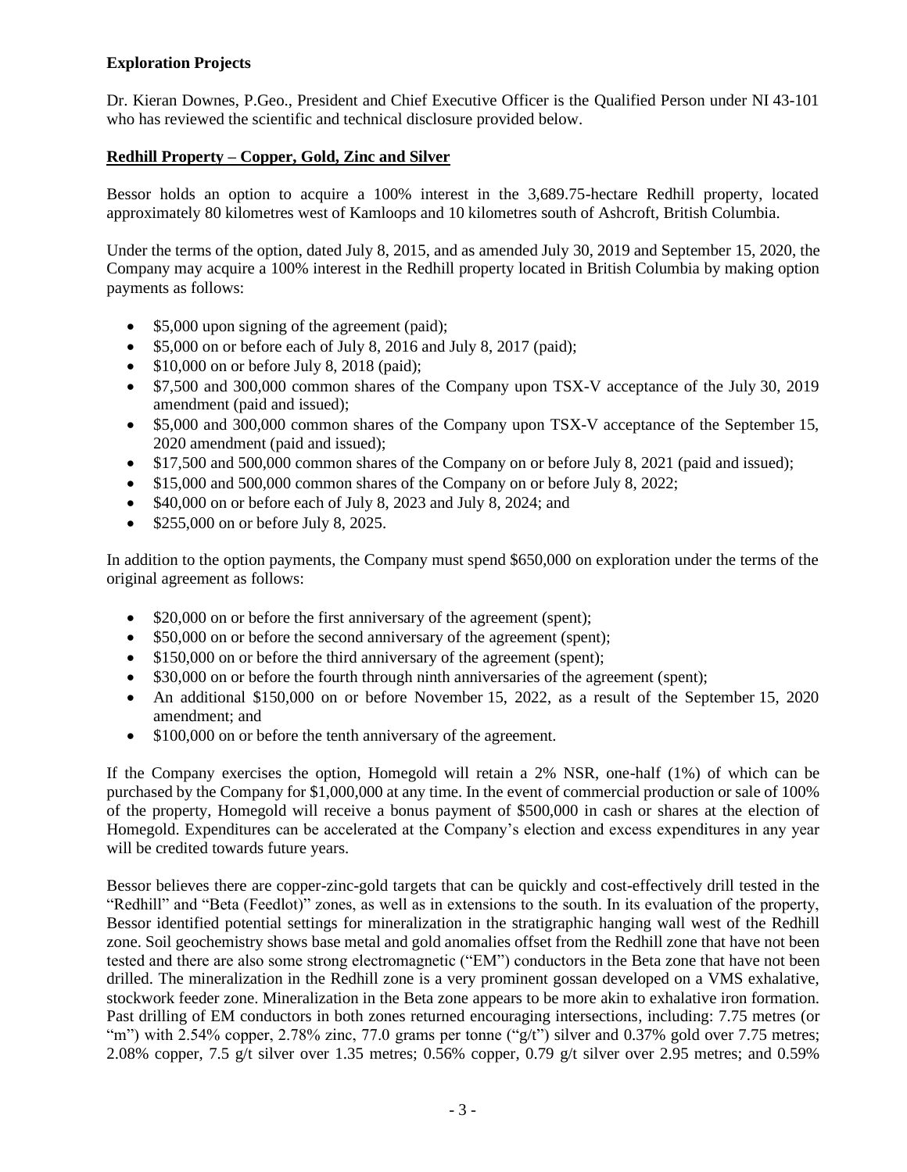### **Exploration Projects**

Dr. Kieran Downes, P.Geo., President and Chief Executive Officer is the Qualified Person under NI 43-101 who has reviewed the scientific and technical disclosure provided below.

### **Redhill Property – Copper, Gold, Zinc and Silver**

Bessor holds an option to acquire a 100% interest in the 3,689.75-hectare Redhill property, located approximately 80 kilometres west of Kamloops and 10 kilometres south of Ashcroft, British Columbia.

Under the terms of the option, dated July 8, 2015, and as amended July 30, 2019 and September 15, 2020, the Company may acquire a 100% interest in the Redhill property located in British Columbia by making option payments as follows:

- \$5,000 upon signing of the agreement (paid);
- $$5,000$  on or before each of July 8, 2016 and July 8, 2017 (paid);
- \$10,000 on or before July 8, 2018 (paid);
- \$7,500 and 300,000 common shares of the Company upon TSX-V acceptance of the July 30, 2019 amendment (paid and issued);
- \$5,000 and 300,000 common shares of the Company upon TSX-V acceptance of the September 15, 2020 amendment (paid and issued);
- \$17,500 and 500,000 common shares of the Company on or before July 8, 2021 (paid and issued);
- \$15,000 and 500,000 common shares of the Company on or before July 8, 2022;
- \$40,000 on or before each of July 8, 2023 and July 8, 2024; and
- \$255,000 on or before July 8, 2025.

In addition to the option payments, the Company must spend \$650,000 on exploration under the terms of the original agreement as follows:

- \$20,000 on or before the first anniversary of the agreement (spent);
- \$50,000 on or before the second anniversary of the agreement (spent);
- \$150,000 on or before the third anniversary of the agreement (spent);
- \$30,000 on or before the fourth through ninth anniversaries of the agreement (spent);
- An additional \$150,000 on or before November 15, 2022, as a result of the September 15, 2020 amendment; and
- \$100,000 on or before the tenth anniversary of the agreement.

If the Company exercises the option, Homegold will retain a 2% NSR, one-half (1%) of which can be purchased by the Company for \$1,000,000 at any time. In the event of commercial production or sale of 100% of the property, Homegold will receive a bonus payment of \$500,000 in cash or shares at the election of Homegold. Expenditures can be accelerated at the Company's election and excess expenditures in any year will be credited towards future years.

Bessor believes there are copper-zinc-gold targets that can be quickly and cost-effectively drill tested in the "Redhill" and "Beta (Feedlot)" zones, as well as in extensions to the south. In its evaluation of the property, Bessor identified potential settings for mineralization in the stratigraphic hanging wall west of the Redhill zone. Soil geochemistry shows base metal and gold anomalies offset from the Redhill zone that have not been tested and there are also some strong electromagnetic ("EM") conductors in the Beta zone that have not been drilled. The mineralization in the Redhill zone is a very prominent gossan developed on a VMS exhalative, stockwork feeder zone. Mineralization in the Beta zone appears to be more akin to exhalative iron formation. Past drilling of EM conductors in both zones returned encouraging intersections, including: 7.75 metres (or "m") with 2.54% copper, 2.78% zinc, 77.0 grams per tonne (" $g/t$ ") silver and 0.37% gold over 7.75 metres; 2.08% copper, 7.5 g/t silver over 1.35 metres; 0.56% copper, 0.79 g/t silver over 2.95 metres; and 0.59%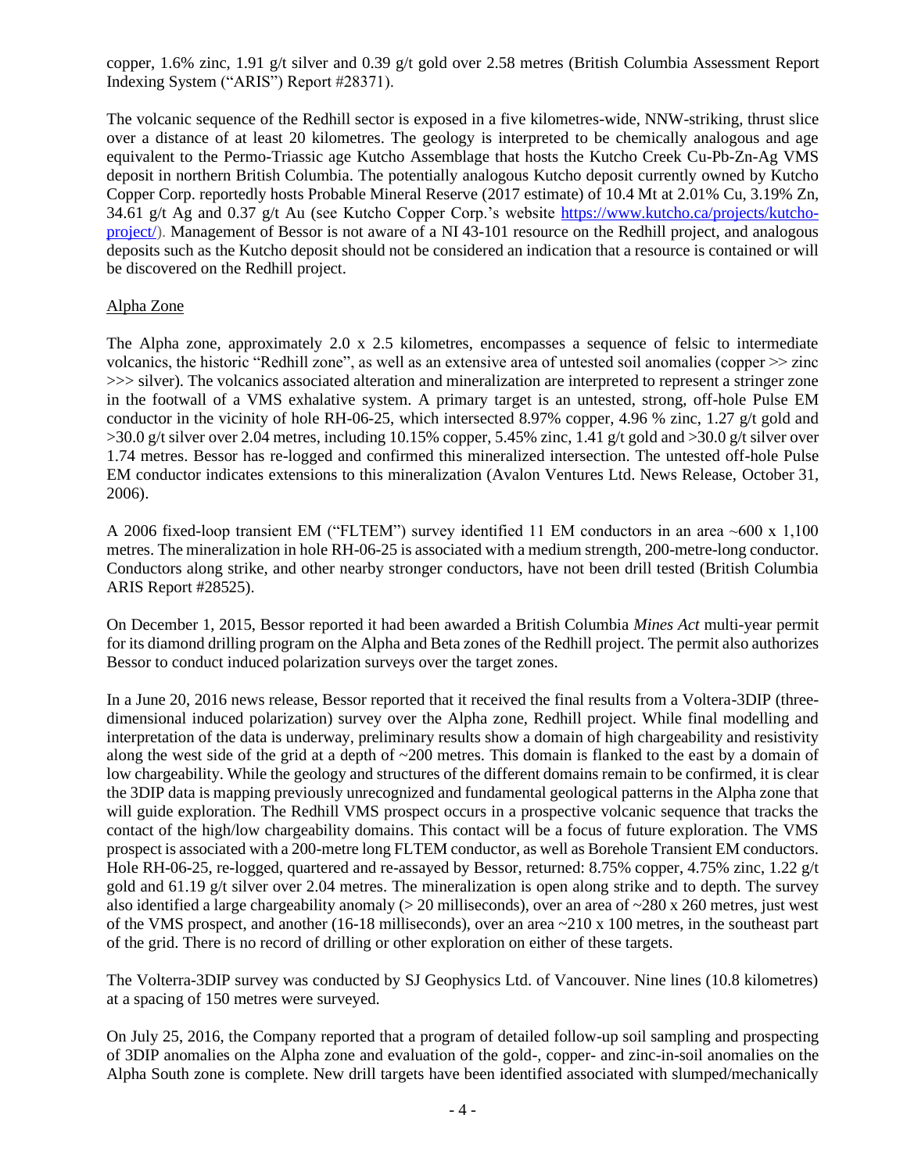copper, 1.6% zinc, 1.91 g/t silver and 0.39 g/t gold over 2.58 metres (British Columbia Assessment Report Indexing System ("ARIS") Report #28371).

The volcanic sequence of the Redhill sector is exposed in a five kilometres-wide, NNW-striking, thrust slice over a distance of at least 20 kilometres. The geology is interpreted to be chemically analogous and age equivalent to the Permo-Triassic age Kutcho Assemblage that hosts the Kutcho Creek Cu-Pb-Zn-Ag VMS deposit in northern British Columbia. The potentially analogous Kutcho deposit currently owned by Kutcho Copper Corp. reportedly hosts Probable Mineral Reserve (2017 estimate) of 10.4 Mt at 2.01% Cu, 3.19% Zn, 34.61 g/t Ag and 0.37 g/t Au (see Kutcho Copper Corp.'s website [https://www.kutcho.ca/projects/kutcho](https://www.kutcho.ca/projects/kutcho-project/)[project/\)](https://www.kutcho.ca/projects/kutcho-project/). Management of Bessor is not aware of a NI 43-101 resource on the Redhill project, and analogous deposits such as the Kutcho deposit should not be considered an indication that a resource is contained or will be discovered on the Redhill project.

#### Alpha Zone

The Alpha zone, approximately 2.0 x 2.5 kilometres, encompasses a sequence of felsic to intermediate volcanics, the historic "Redhill zone", as well as an extensive area of untested soil anomalies (copper >> zinc >>> silver). The volcanics associated alteration and mineralization are interpreted to represent a stringer zone in the footwall of a VMS exhalative system. A primary target is an untested, strong, off-hole Pulse EM conductor in the vicinity of hole RH-06-25, which intersected 8.97% copper, 4.96 % zinc, 1.27 g/t gold and  $>$ 30.0 g/t silver over 2.04 metres, including 10.15% copper, 5.45% zinc, 1.41 g/t gold and  $>$ 30.0 g/t silver over 1.74 metres. Bessor has re-logged and confirmed this mineralized intersection. The untested off-hole Pulse EM conductor indicates extensions to this mineralization (Avalon Ventures Ltd. News Release, October 31, 2006).

A 2006 fixed-loop transient EM ("FLTEM") survey identified 11 EM conductors in an area ~600 x 1,100 metres. The mineralization in hole RH-06-25 is associated with a medium strength, 200-metre-long conductor. Conductors along strike, and other nearby stronger conductors, have not been drill tested (British Columbia ARIS Report #28525).

On December 1, 2015, Bessor reported it had been awarded a British Columbia *Mines Act* multi-year permit for its diamond drilling program on the Alpha and Beta zones of the Redhill project. The permit also authorizes Bessor to conduct induced polarization surveys over the target zones.

In a June 20, 2016 news release, Bessor reported that it received the final results from a Voltera-3DIP (threedimensional induced polarization) survey over the Alpha zone, Redhill project. While final modelling and interpretation of the data is underway, preliminary results show a domain of high chargeability and resistivity along the west side of the grid at a depth of  $\sim$ 200 metres. This domain is flanked to the east by a domain of low chargeability. While the geology and structures of the different domains remain to be confirmed, it is clear the 3DIP data is mapping previously unrecognized and fundamental geological patterns in the Alpha zone that will guide exploration. The Redhill VMS prospect occurs in a prospective volcanic sequence that tracks the contact of the high/low chargeability domains. This contact will be a focus of future exploration. The VMS prospect is associated with a 200-metre long FLTEM conductor, as well as Borehole Transient EM conductors. Hole RH-06-25, re-logged, quartered and re-assayed by Bessor, returned: 8.75% copper, 4.75% zinc, 1.22 g/t gold and 61.19 g/t silver over 2.04 metres. The mineralization is open along strike and to depth. The survey also identified a large chargeability anomaly ( $>$  20 milliseconds), over an area of  $\sim$ 280 x 260 metres, just west of the VMS prospect, and another (16-18 milliseconds), over an area  $\sim$ 210 x 100 metres, in the southeast part of the grid. There is no record of drilling or other exploration on either of these targets.

The Volterra-3DIP survey was conducted by SJ Geophysics Ltd. of Vancouver. Nine lines (10.8 kilometres) at a spacing of 150 metres were surveyed.

On July 25, 2016, the Company reported that a program of detailed follow-up soil sampling and prospecting of 3DIP anomalies on the Alpha zone and evaluation of the gold-, copper- and zinc-in-soil anomalies on the Alpha South zone is complete. New drill targets have been identified associated with slumped/mechanically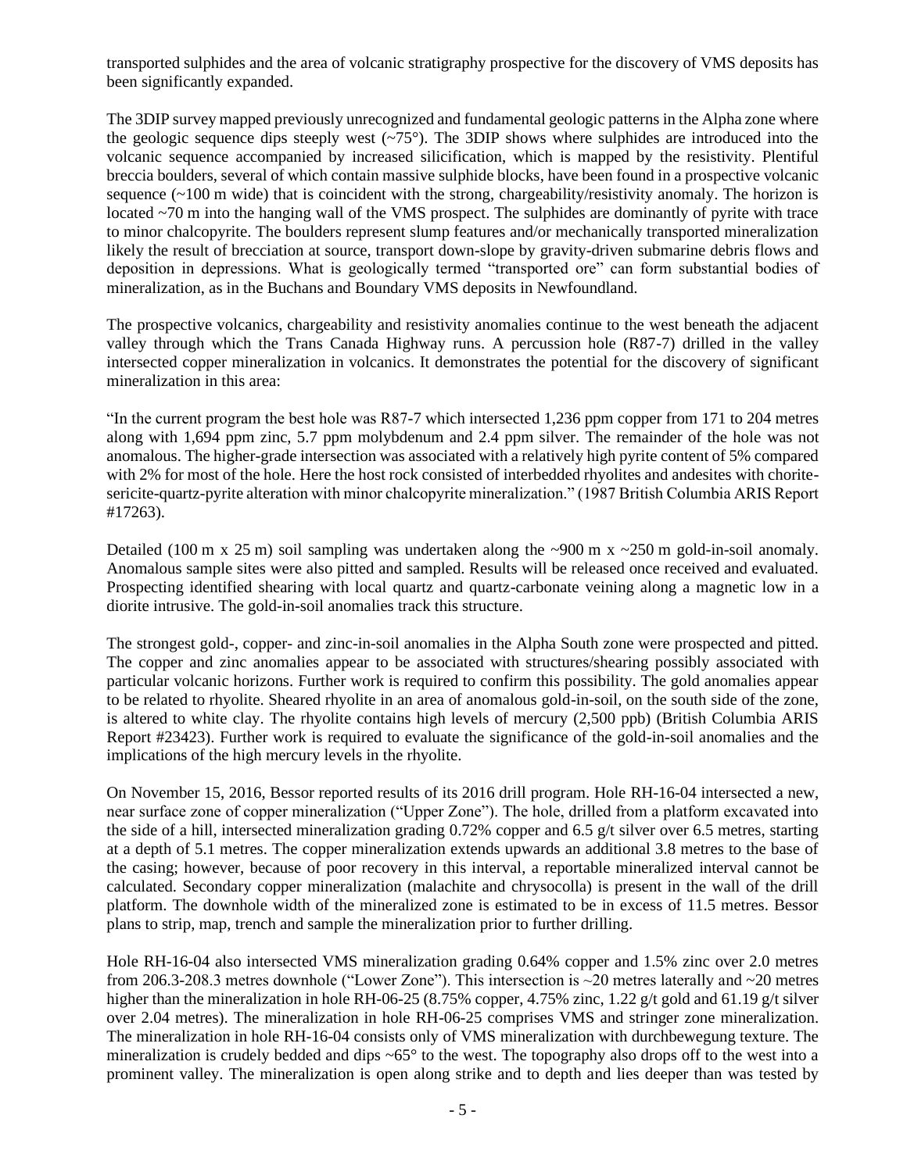transported sulphides and the area of volcanic stratigraphy prospective for the discovery of VMS deposits has been significantly expanded.

The 3DIP survey mapped previously unrecognized and fundamental geologic patterns in the Alpha zone where the geologic sequence dips steeply west  $(-75^{\circ})$ . The 3DIP shows where sulphides are introduced into the volcanic sequence accompanied by increased silicification, which is mapped by the resistivity. Plentiful breccia boulders, several of which contain massive sulphide blocks, have been found in a prospective volcanic sequence  $(\sim 100 \text{ m}$  wide) that is coincident with the strong, chargeability/resistivity anomaly. The horizon is located ~70 m into the hanging wall of the VMS prospect. The sulphides are dominantly of pyrite with trace to minor chalcopyrite. The boulders represent slump features and/or mechanically transported mineralization likely the result of brecciation at source, transport down-slope by gravity-driven submarine debris flows and deposition in depressions. What is geologically termed "transported ore" can form substantial bodies of mineralization, as in the Buchans and Boundary VMS deposits in Newfoundland.

The prospective volcanics, chargeability and resistivity anomalies continue to the west beneath the adjacent valley through which the Trans Canada Highway runs. A percussion hole (R87-7) drilled in the valley intersected copper mineralization in volcanics. It demonstrates the potential for the discovery of significant mineralization in this area:

"In the current program the best hole was R87-7 which intersected 1,236 ppm copper from 171 to 204 metres along with 1,694 ppm zinc, 5.7 ppm molybdenum and 2.4 ppm silver. The remainder of the hole was not anomalous. The higher-grade intersection was associated with a relatively high pyrite content of 5% compared with 2% for most of the hole. Here the host rock consisted of interbedded rhyolites and andesites with choritesericite-quartz-pyrite alteration with minor chalcopyrite mineralization." (1987 British Columbia ARIS Report #17263).

Detailed (100 m x 25 m) soil sampling was undertaken along the ~900 m x ~250 m gold-in-soil anomaly. Anomalous sample sites were also pitted and sampled. Results will be released once received and evaluated. Prospecting identified shearing with local quartz and quartz-carbonate veining along a magnetic low in a diorite intrusive. The gold-in-soil anomalies track this structure.

The strongest gold-, copper- and zinc-in-soil anomalies in the Alpha South zone were prospected and pitted. The copper and zinc anomalies appear to be associated with structures/shearing possibly associated with particular volcanic horizons. Further work is required to confirm this possibility. The gold anomalies appear to be related to rhyolite. Sheared rhyolite in an area of anomalous gold-in-soil, on the south side of the zone, is altered to white clay. The rhyolite contains high levels of mercury (2,500 ppb) (British Columbia ARIS Report #23423). Further work is required to evaluate the significance of the gold-in-soil anomalies and the implications of the high mercury levels in the rhyolite.

On November 15, 2016, Bessor reported results of its 2016 drill program. Hole RH-16-04 intersected a new, near surface zone of copper mineralization ("Upper Zone"). The hole, drilled from a platform excavated into the side of a hill, intersected mineralization grading 0.72% copper and 6.5 g/t silver over 6.5 metres, starting at a depth of 5.1 metres. The copper mineralization extends upwards an additional 3.8 metres to the base of the casing; however, because of poor recovery in this interval, a reportable mineralized interval cannot be calculated. Secondary copper mineralization (malachite and chrysocolla) is present in the wall of the drill platform. The downhole width of the mineralized zone is estimated to be in excess of 11.5 metres. Bessor plans to strip, map, trench and sample the mineralization prior to further drilling.

Hole RH-16-04 also intersected VMS mineralization grading 0.64% copper and 1.5% zinc over 2.0 metres from 206.3-208.3 metres downhole ("Lower Zone"). This intersection is ~20 metres laterally and ~20 metres higher than the mineralization in hole RH-06-25 (8.75% copper, 4.75% zinc, 1.22 g/t gold and 61.19 g/t silver over 2.04 metres). The mineralization in hole RH-06-25 comprises VMS and stringer zone mineralization. The mineralization in hole RH-16-04 consists only of VMS mineralization with durchbewegung texture. The mineralization is crudely bedded and dips  $\sim 65^\circ$  to the west. The topography also drops off to the west into a prominent valley. The mineralization is open along strike and to depth and lies deeper than was tested by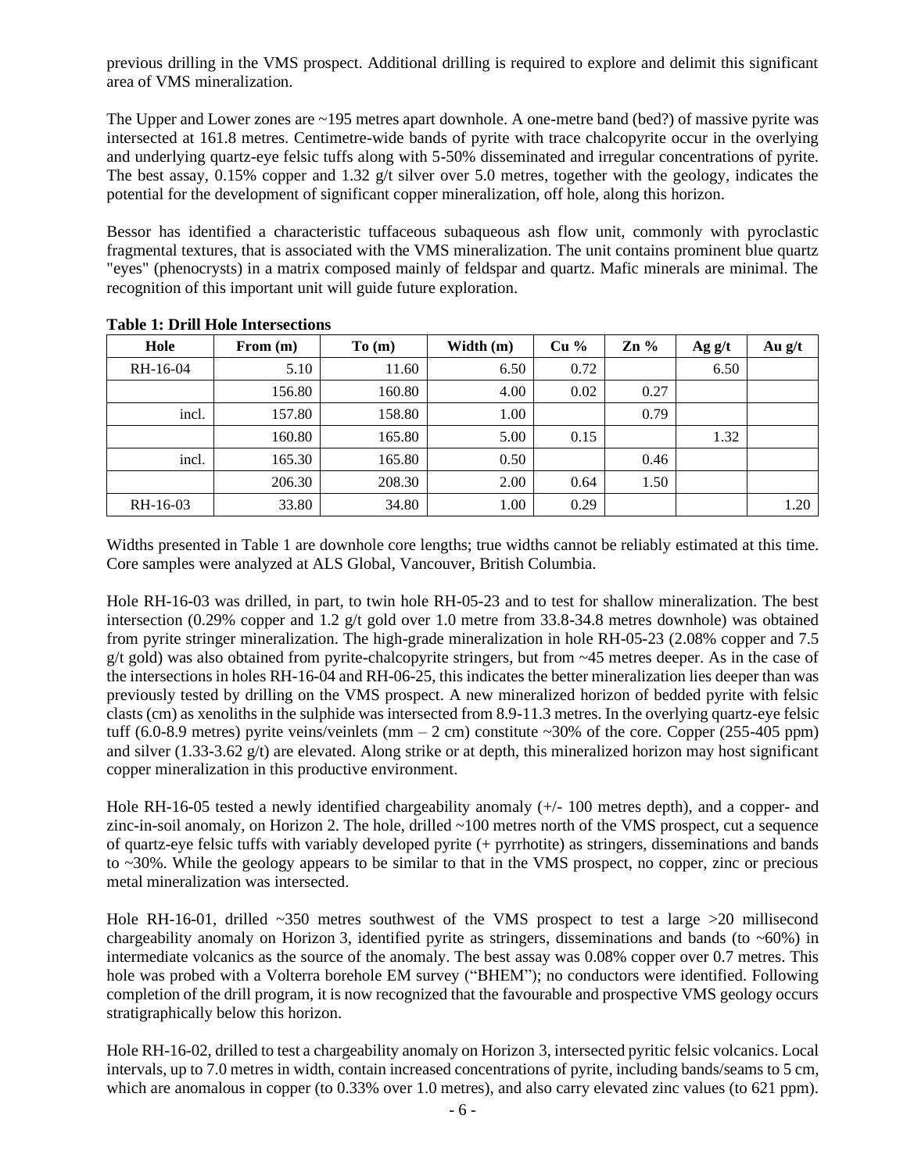previous drilling in the VMS prospect. Additional drilling is required to explore and delimit this significant area of VMS mineralization.

The Upper and Lower zones are ~195 metres apart downhole. A one-metre band (bed?) of massive pyrite was intersected at 161.8 metres. Centimetre-wide bands of pyrite with trace chalcopyrite occur in the overlying and underlying quartz-eye felsic tuffs along with 5-50% disseminated and irregular concentrations of pyrite. The best assay, 0.15% copper and 1.32  $g/t$  silver over 5.0 metres, together with the geology, indicates the potential for the development of significant copper mineralization, off hole, along this horizon.

Bessor has identified a characteristic tuffaceous subaqueous ash flow unit, commonly with pyroclastic fragmental textures, that is associated with the VMS mineralization. The unit contains prominent blue quartz "eyes" (phenocrysts) in a matrix composed mainly of feldspar and quartz. Mafic minerals are minimal. The recognition of this important unit will guide future exploration.

| Hole     | From $(m)$ | To(m)  | Width $(m)$ | $Cu\%$ | $\mathbf{Zn}$ % | Ag g/t | Au $g/t$ |
|----------|------------|--------|-------------|--------|-----------------|--------|----------|
| RH-16-04 | 5.10       | 11.60  | 6.50        | 0.72   |                 | 6.50   |          |
|          | 156.80     | 160.80 | 4.00        | 0.02   | 0.27            |        |          |
| incl.    | 157.80     | 158.80 | 1.00        |        | 0.79            |        |          |
|          | 160.80     | 165.80 | 5.00        | 0.15   |                 | 1.32   |          |
| incl.    | 165.30     | 165.80 | 0.50        |        | 0.46            |        |          |
|          | 206.30     | 208.30 | 2.00        | 0.64   | 1.50            |        |          |
| RH-16-03 | 33.80      | 34.80  | 1.00        | 0.29   |                 |        | 1.20     |

**Table 1: Drill Hole Intersections**

Widths presented in Table 1 are downhole core lengths; true widths cannot be reliably estimated at this time. Core samples were analyzed at ALS Global, Vancouver, British Columbia.

Hole RH-16-03 was drilled, in part, to twin hole RH-05-23 and to test for shallow mineralization. The best intersection (0.29% copper and 1.2 g/t gold over 1.0 metre from 33.8-34.8 metres downhole) was obtained from pyrite stringer mineralization. The high-grade mineralization in hole RH-05-23 (2.08% copper and 7.5 g/t gold) was also obtained from pyrite-chalcopyrite stringers, but from ~45 metres deeper. As in the case of the intersections in holes RH-16-04 and RH-06-25, this indicates the better mineralization lies deeper than was previously tested by drilling on the VMS prospect. A new mineralized horizon of bedded pyrite with felsic clasts (cm) as xenoliths in the sulphide was intersected from 8.9-11.3 metres. In the overlying quartz-eye felsic tuff (6.0-8.9 metres) pyrite veins/veinlets (mm  $-2$  cm) constitute  $\sim$ 30% of the core. Copper (255-405 ppm) and silver (1.33-3.62 g/t) are elevated. Along strike or at depth, this mineralized horizon may host significant copper mineralization in this productive environment.

Hole RH-16-05 tested a newly identified chargeability anomaly (+/- 100 metres depth), and a copper- and zinc-in-soil anomaly, on Horizon 2. The hole, drilled ~100 metres north of the VMS prospect, cut a sequence of quartz-eye felsic tuffs with variably developed pyrite (+ pyrrhotite) as stringers, disseminations and bands to ~30%. While the geology appears to be similar to that in the VMS prospect, no copper, zinc or precious metal mineralization was intersected.

Hole RH-16-01, drilled  $\sim$ 350 metres southwest of the VMS prospect to test a large  $>$ 20 millisecond chargeability anomaly on Horizon 3, identified pyrite as stringers, disseminations and bands (to ~60%) in intermediate volcanics as the source of the anomaly. The best assay was 0.08% copper over 0.7 metres. This hole was probed with a Volterra borehole EM survey ("BHEM"); no conductors were identified. Following completion of the drill program, it is now recognized that the favourable and prospective VMS geology occurs stratigraphically below this horizon.

Hole RH-16-02, drilled to test a chargeability anomaly on Horizon 3, intersected pyritic felsic volcanics. Local intervals, up to 7.0 metres in width, contain increased concentrations of pyrite, including bands/seams to 5 cm, which are anomalous in copper (to 0.33% over 1.0 metres), and also carry elevated zinc values (to 621 ppm).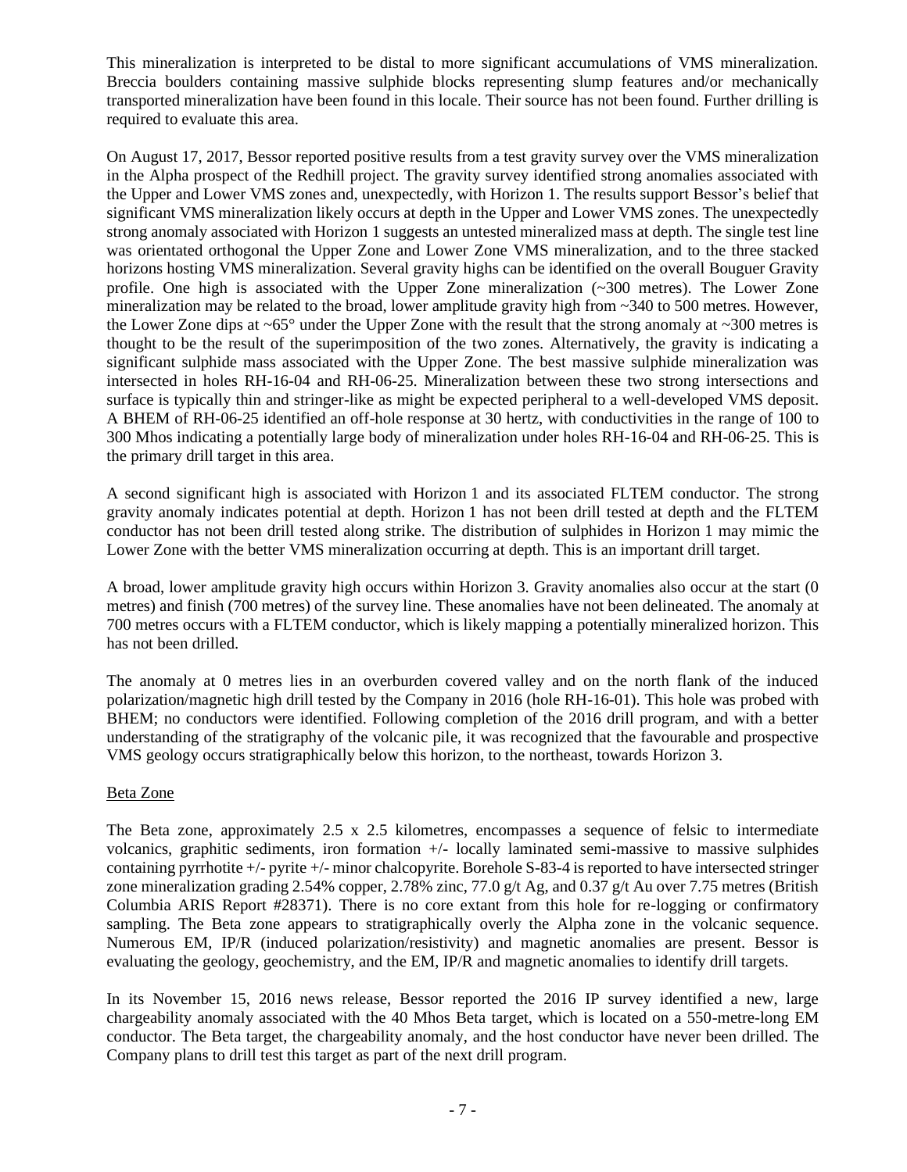This mineralization is interpreted to be distal to more significant accumulations of VMS mineralization. Breccia boulders containing massive sulphide blocks representing slump features and/or mechanically transported mineralization have been found in this locale. Their source has not been found. Further drilling is required to evaluate this area.

On August 17, 2017, Bessor reported positive results from a test gravity survey over the VMS mineralization in the Alpha prospect of the Redhill project. The gravity survey identified strong anomalies associated with the Upper and Lower VMS zones and, unexpectedly, with Horizon 1. The results support Bessor's belief that significant VMS mineralization likely occurs at depth in the Upper and Lower VMS zones. The unexpectedly strong anomaly associated with Horizon 1 suggests an untested mineralized mass at depth. The single test line was orientated orthogonal the Upper Zone and Lower Zone VMS mineralization, and to the three stacked horizons hosting VMS mineralization. Several gravity highs can be identified on the overall Bouguer Gravity profile. One high is associated with the Upper Zone mineralization (~300 metres). The Lower Zone mineralization may be related to the broad, lower amplitude gravity high from ~340 to 500 metres. However, the Lower Zone dips at  $\sim 65^\circ$  under the Upper Zone with the result that the strong anomaly at  $\sim 300$  metres is thought to be the result of the superimposition of the two zones. Alternatively, the gravity is indicating a significant sulphide mass associated with the Upper Zone. The best massive sulphide mineralization was intersected in holes RH-16-04 and RH-06-25. Mineralization between these two strong intersections and surface is typically thin and stringer-like as might be expected peripheral to a well-developed VMS deposit. A BHEM of RH-06-25 identified an off-hole response at 30 hertz, with conductivities in the range of 100 to 300 Mhos indicating a potentially large body of mineralization under holes RH-16-04 and RH-06-25. This is the primary drill target in this area.

A second significant high is associated with Horizon 1 and its associated FLTEM conductor. The strong gravity anomaly indicates potential at depth. Horizon 1 has not been drill tested at depth and the FLTEM conductor has not been drill tested along strike. The distribution of sulphides in Horizon 1 may mimic the Lower Zone with the better VMS mineralization occurring at depth. This is an important drill target.

A broad, lower amplitude gravity high occurs within Horizon 3. Gravity anomalies also occur at the start (0 metres) and finish (700 metres) of the survey line. These anomalies have not been delineated. The anomaly at 700 metres occurs with a FLTEM conductor, which is likely mapping a potentially mineralized horizon. This has not been drilled.

The anomaly at 0 metres lies in an overburden covered valley and on the north flank of the induced polarization/magnetic high drill tested by the Company in 2016 (hole RH-16-01). This hole was probed with BHEM; no conductors were identified. Following completion of the 2016 drill program, and with a better understanding of the stratigraphy of the volcanic pile, it was recognized that the favourable and prospective VMS geology occurs stratigraphically below this horizon, to the northeast, towards Horizon 3.

#### Beta Zone

The Beta zone, approximately 2.5 x 2.5 kilometres, encompasses a sequence of felsic to intermediate volcanics, graphitic sediments, iron formation +/- locally laminated semi-massive to massive sulphides containing pyrrhotite +/- pyrite +/- minor chalcopyrite. Borehole S-83-4 is reported to have intersected stringer zone mineralization grading 2.54% copper, 2.78% zinc, 77.0 g/t Ag, and 0.37 g/t Au over 7.75 metres (British Columbia ARIS Report #28371). There is no core extant from this hole for re-logging or confirmatory sampling. The Beta zone appears to stratigraphically overly the Alpha zone in the volcanic sequence. Numerous EM, IP/R (induced polarization/resistivity) and magnetic anomalies are present. Bessor is evaluating the geology, geochemistry, and the EM, IP/R and magnetic anomalies to identify drill targets.

In its November 15, 2016 news release, Bessor reported the 2016 IP survey identified a new, large chargeability anomaly associated with the 40 Mhos Beta target, which is located on a 550-metre-long EM conductor. The Beta target, the chargeability anomaly, and the host conductor have never been drilled. The Company plans to drill test this target as part of the next drill program.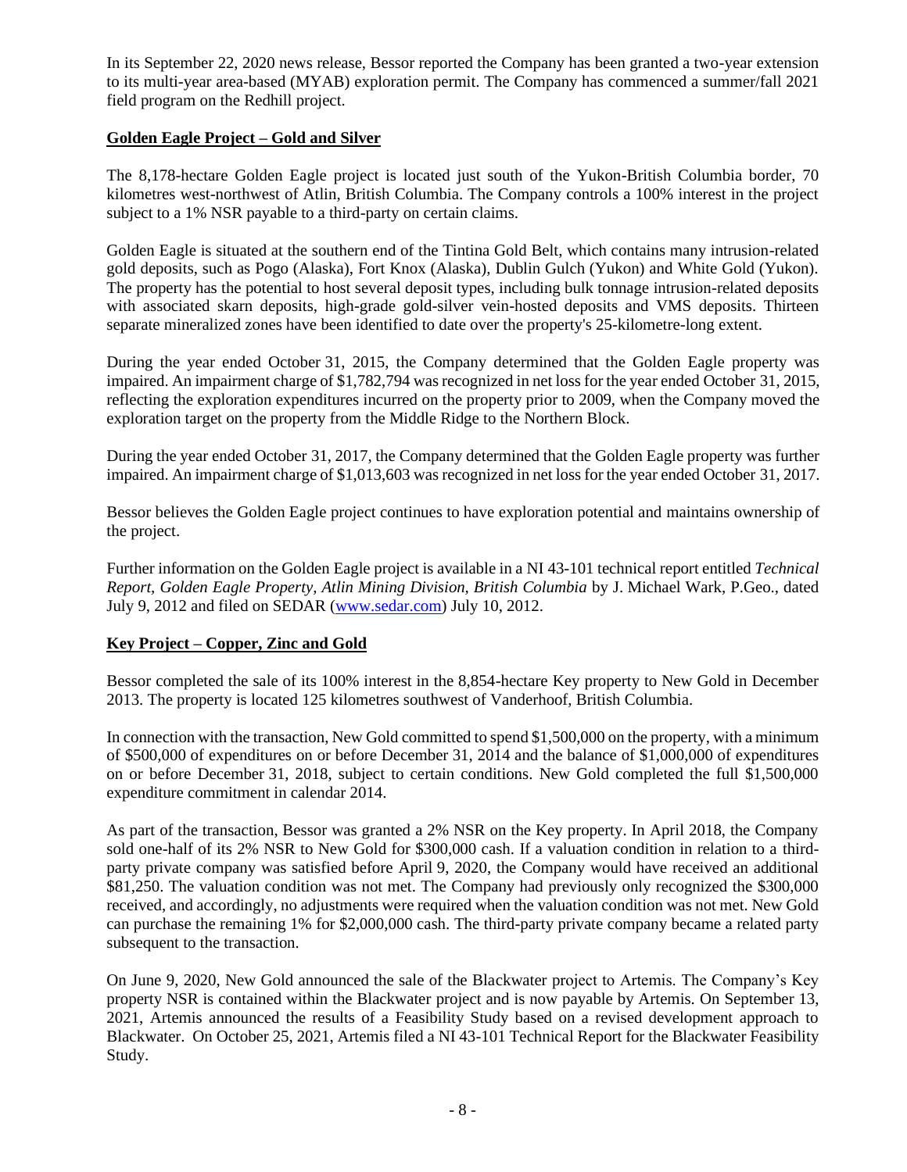In its September 22, 2020 news release, Bessor reported the Company has been granted a two-year extension to its multi-year area-based (MYAB) exploration permit. The Company has commenced a summer/fall 2021 field program on the Redhill project.

### **Golden Eagle Project – Gold and Silver**

The 8,178-hectare Golden Eagle project is located just south of the Yukon-British Columbia border, 70 kilometres west-northwest of Atlin, British Columbia. The Company controls a 100% interest in the project subject to a 1% NSR payable to a third-party on certain claims.

Golden Eagle is situated at the southern end of the Tintina Gold Belt, which contains many intrusion-related gold deposits, such as Pogo (Alaska), Fort Knox (Alaska), Dublin Gulch (Yukon) and White Gold (Yukon). The property has the potential to host several deposit types, including bulk tonnage intrusion-related deposits with associated skarn deposits, high-grade gold-silver vein-hosted deposits and VMS deposits. Thirteen separate mineralized zones have been identified to date over the property's 25-kilometre-long extent.

During the year ended October 31, 2015, the Company determined that the Golden Eagle property was impaired. An impairment charge of \$1,782,794 was recognized in net loss for the year ended October 31, 2015, reflecting the exploration expenditures incurred on the property prior to 2009, when the Company moved the exploration target on the property from the Middle Ridge to the Northern Block.

During the year ended October 31, 2017, the Company determined that the Golden Eagle property was further impaired. An impairment charge of \$1,013,603 was recognized in net loss for the year ended October 31, 2017.

Bessor believes the Golden Eagle project continues to have exploration potential and maintains ownership of the project.

Further information on the Golden Eagle project is available in a NI 43-101 technical report entitled *Technical Report, Golden Eagle Property, Atlin Mining Division, British Columbia* by J. Michael Wark, P.Geo., dated July 9, 2012 and filed on SEDAR [\(www.sedar.com\)](http://www.sedar.com/) July 10, 2012.

#### **Key Project – Copper, Zinc and Gold**

Bessor completed the sale of its 100% interest in the 8,854-hectare Key property to New Gold in December 2013. The property is located 125 kilometres southwest of Vanderhoof, British Columbia.

In connection with the transaction, New Gold committed to spend \$1,500,000 on the property, with a minimum of \$500,000 of expenditures on or before December 31, 2014 and the balance of \$1,000,000 of expenditures on or before December 31, 2018, subject to certain conditions. New Gold completed the full \$1,500,000 expenditure commitment in calendar 2014.

As part of the transaction, Bessor was granted a 2% NSR on the Key property. In April 2018, the Company sold one-half of its 2% NSR to New Gold for \$300,000 cash. If a valuation condition in relation to a thirdparty private company was satisfied before April 9, 2020, the Company would have received an additional \$81,250. The valuation condition was not met. The Company had previously only recognized the \$300,000 received, and accordingly, no adjustments were required when the valuation condition was not met. New Gold can purchase the remaining 1% for \$2,000,000 cash. The third-party private company became a related party subsequent to the transaction.

On June 9, 2020, New Gold announced the sale of the Blackwater project to Artemis. The Company's Key property NSR is contained within the Blackwater project and is now payable by Artemis. On September 13, 2021, Artemis announced the results of a Feasibility Study based on a revised development approach to Blackwater. On October 25, 2021, Artemis filed a NI 43-101 Technical Report for the Blackwater Feasibility Study.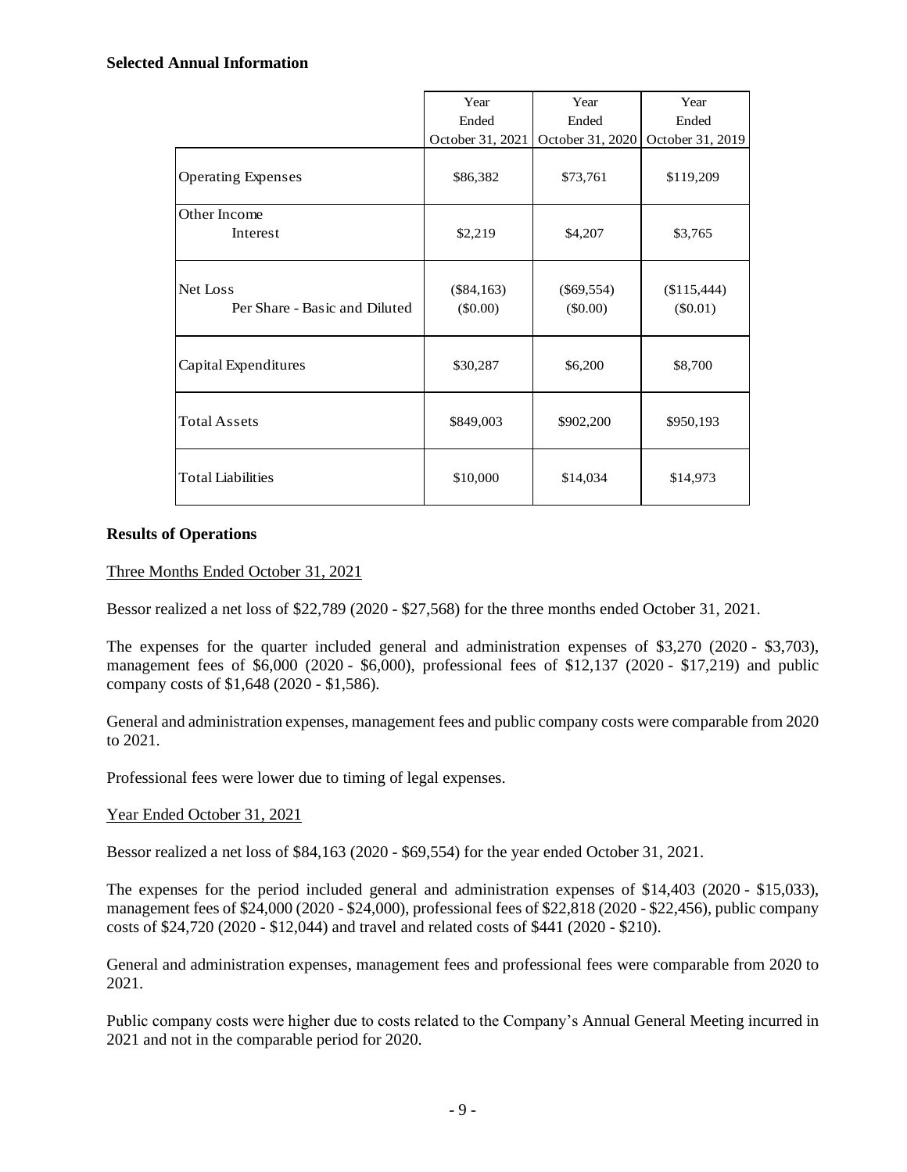#### **Selected Annual Information**

|                                           | Year                     | Year                       | Year                      |
|-------------------------------------------|--------------------------|----------------------------|---------------------------|
|                                           | Ended                    | Ended                      | Ended                     |
|                                           | October 31, 2021         | October 31, 2020           | October 31, 2019          |
| <b>Operating Expenses</b>                 | \$86,382                 | \$73,761                   | \$119,209                 |
| Other Income                              |                          |                            |                           |
| Interest                                  | \$2,219                  | \$4,207                    | \$3,765                   |
| Net Loss<br>Per Share - Basic and Diluted | $(\$84,163)$<br>(\$0.00) | $(\$69,554)$<br>$(\$0.00)$ | (\$115,444)<br>$(\$0.01)$ |
| Capital Expenditures                      | \$30,287                 | \$6,200                    | \$8,700                   |
| <b>Total Assets</b>                       | \$849,003                | \$902,200                  | \$950,193                 |
| <b>Total Liabilities</b>                  | \$10,000                 | \$14,034                   | \$14,973                  |

#### **Results of Operations**

Three Months Ended October 31, 2021

Bessor realized a net loss of \$22,789 (2020 - \$27,568) for the three months ended October 31, 2021.

The expenses for the quarter included general and administration expenses of \$3,270 (2020 - \$3,703), management fees of \$6,000 (2020 - \$6,000), professional fees of \$12,137 (2020 - \$17,219) and public company costs of \$1,648 (2020 - \$1,586).

General and administration expenses, management fees and public company costs were comparable from 2020 to 2021.

Professional fees were lower due to timing of legal expenses.

### Year Ended October 31, 2021

Bessor realized a net loss of \$84,163 (2020 - \$69,554) for the year ended October 31, 2021.

The expenses for the period included general and administration expenses of \$14,403 (2020 - \$15,033), management fees of \$24,000 (2020 - \$24,000), professional fees of \$22,818 (2020 - \$22,456), public company costs of \$24,720 (2020 - \$12,044) and travel and related costs of \$441 (2020 - \$210).

General and administration expenses, management fees and professional fees were comparable from 2020 to 2021.

Public company costs were higher due to costs related to the Company's Annual General Meeting incurred in 2021 and not in the comparable period for 2020.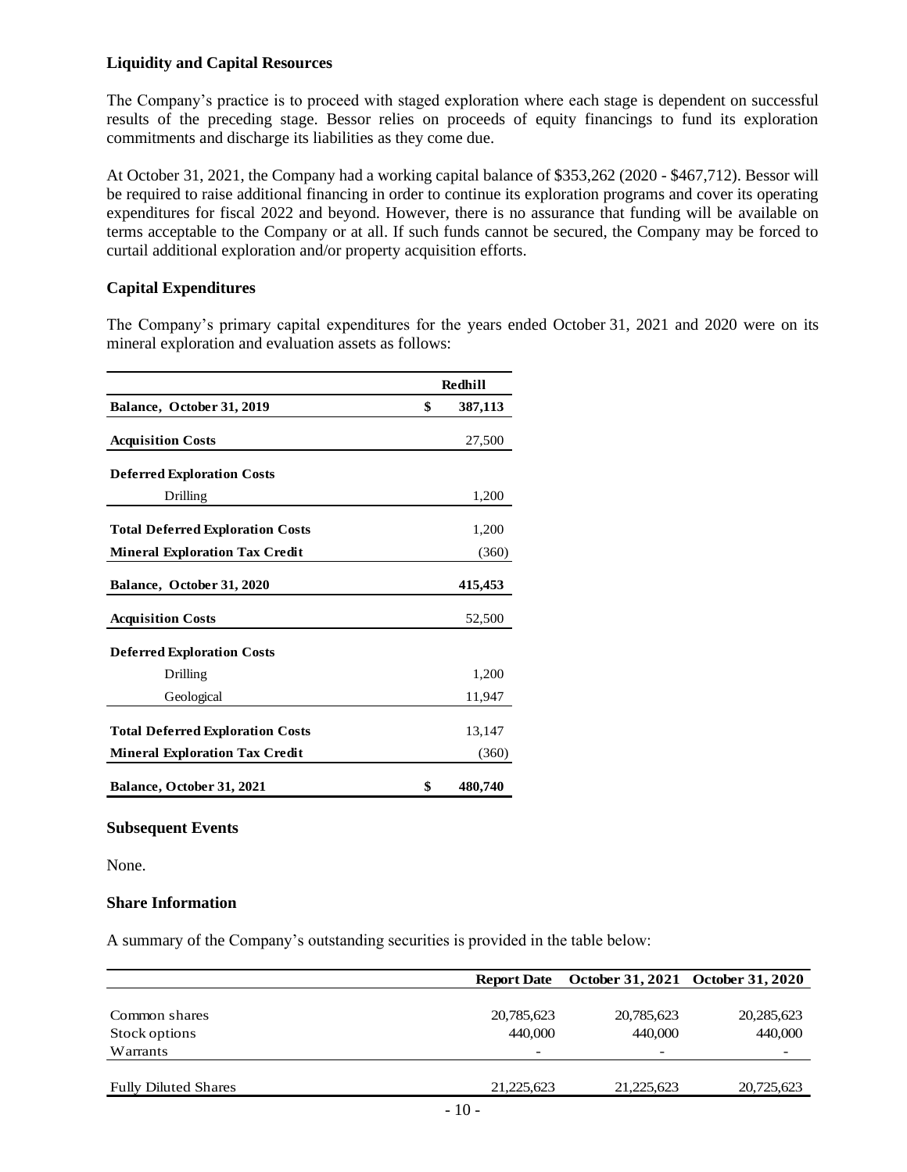#### **Liquidity and Capital Resources**

The Company's practice is to proceed with staged exploration where each stage is dependent on successful results of the preceding stage. Bessor relies on proceeds of equity financings to fund its exploration commitments and discharge its liabilities as they come due.

At October 31, 2021, the Company had a working capital balance of \$353,262 (2020 - \$467,712). Bessor will be required to raise additional financing in order to continue its exploration programs and cover its operating expenditures for fiscal 2022 and beyond. However, there is no assurance that funding will be available on terms acceptable to the Company or at all. If such funds cannot be secured, the Company may be forced to curtail additional exploration and/or property acquisition efforts.

#### **Capital Expenditures**

The Company's primary capital expenditures for the years ended October 31, 2021 and 2020 were on its mineral exploration and evaluation assets as follows:

|                                         | <b>Redhill</b> |         |  |  |  |
|-----------------------------------------|----------------|---------|--|--|--|
| Balance, October 31, 2019               | \$             | 387,113 |  |  |  |
| <b>Acquisition Costs</b>                |                | 27,500  |  |  |  |
| <b>Deferred Exploration Costs</b>       |                |         |  |  |  |
| Drilling                                |                | 1,200   |  |  |  |
| <b>Total Deferred Exploration Costs</b> |                | 1,200   |  |  |  |
| <b>Mineral Exploration Tax Credit</b>   |                | (360)   |  |  |  |
| Balance, October 31, 2020               |                | 415,453 |  |  |  |
| <b>Acquisition Costs</b>                |                | 52,500  |  |  |  |
| <b>Deferred Exploration Costs</b>       |                |         |  |  |  |
| Drilling                                |                | 1,200   |  |  |  |
| Geological                              |                | 11,947  |  |  |  |
| <b>Total Deferred Exploration Costs</b> |                | 13,147  |  |  |  |
| <b>Mineral Exploration Tax Credit</b>   |                | (360)   |  |  |  |
| Balance, October 31, 2021               | \$             | 480,740 |  |  |  |

#### **Subsequent Events**

None.

#### **Share Information**

A summary of the Company's outstanding securities is provided in the table below:

|                             | <b>Report Date</b> | October 31, 2021 October 31, 2020 |            |
|-----------------------------|--------------------|-----------------------------------|------------|
|                             |                    |                                   |            |
| Common shares               | 20,785,623         | 20,785,623                        | 20,285,623 |
| Stock options               | 440,000            | 440,000                           | 440,000    |
| Warrants                    | -                  | $\qquad \qquad$                   |            |
|                             |                    |                                   |            |
| <b>Fully Diluted Shares</b> | 21,225,623         | 21,225,623                        | 20,725,623 |
|                             | $\sim$             |                                   |            |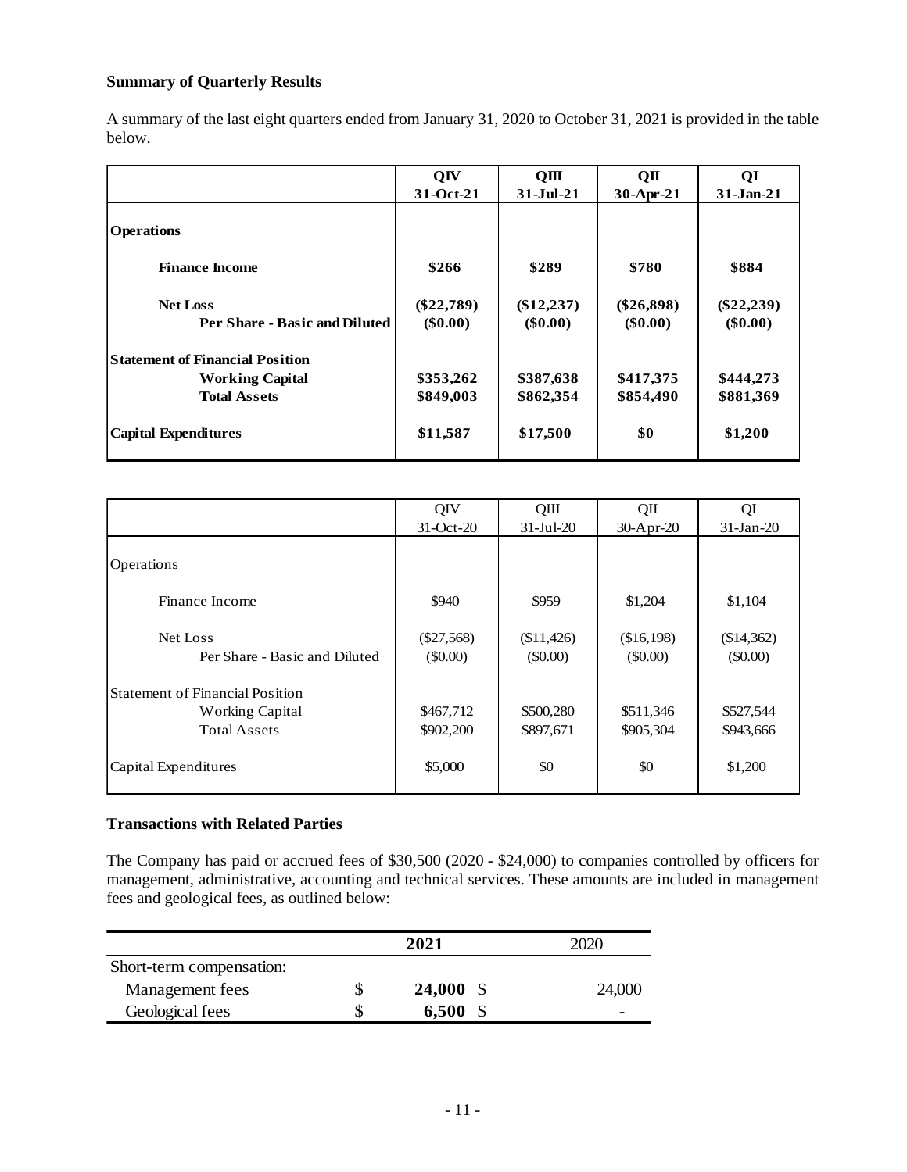# **Summary of Quarterly Results**

A summary of the last eight quarters ended from January 31, 2020 to October 31, 2021 is provided in the table below.

|                                        | QIV          | QIII         | QП           | QI           |
|----------------------------------------|--------------|--------------|--------------|--------------|
|                                        | 31-Oct-21    | $31-Jul-21$  | 30-Apr-21    | $31-Jan-21$  |
| <b>Operations</b>                      |              |              |              |              |
| <b>Finance Income</b>                  | \$266        | \$289        | \$780        | \$884        |
| <b>Net Loss</b>                        | $(\$22,789)$ | $(\$12,237)$ | $(\$26,898)$ | $(\$22,239)$ |
| <b>Per Share - Basic and Diluted  </b> | $(\$0.00)$   | $(\$0.00)$   | $(\$0.00)$   | $(\$0.00)$   |
| <b>Statement of Financial Position</b> |              |              |              |              |
| <b>Working Capital</b>                 | \$353,262    | \$387,638    | \$417,375    | \$444,273    |
| <b>Total Assets</b>                    | \$849,003    | \$862,354    | \$854,490    | \$881,369    |
| <b>Capital Expenditures</b>            | \$11,587     | \$17,500     | \$0          | \$1,200      |

|                                        | QIV          | QIII        | QII         | QI          |
|----------------------------------------|--------------|-------------|-------------|-------------|
|                                        | $31-Oct-20$  | $31-Ju1-20$ | $30-Apr-20$ | $31-Jan-20$ |
| Operations                             |              |             |             |             |
| Finance Income                         | \$940        | \$959       | \$1,204     | \$1,104     |
| Net Loss                               | $(\$27,568)$ | (\$11,426)  | (\$16,198)  | (\$14,362)  |
| Per Share - Basic and Diluted          | $($ \$0.00)  | $($ \$0.00) | $(\$0.00)$  | $($ \$0.00) |
| <b>Statement of Financial Position</b> |              |             |             |             |
| <b>Working Capital</b>                 | \$467,712    | \$500,280   | \$511,346   | \$527,544   |
| <b>Total Assets</b>                    | \$902,200    | \$897,671   | \$905,304   | \$943,666   |
| Capital Expenditures                   | \$5,000      | \$0         | \$0         | \$1,200     |

# **Transactions with Related Parties**

The Company has paid or accrued fees of \$30,500 (2020 - \$24,000) to companies controlled by officers for management, administrative, accounting and technical services. These amounts are included in management fees and geological fees, as outlined below:

|                          | 2021      | 2020 |        |  |
|--------------------------|-----------|------|--------|--|
| Short-term compensation: |           |      |        |  |
| Management fees          | 24,000 \$ |      | 24,000 |  |
| Geological fees          | 6,500     |      | -      |  |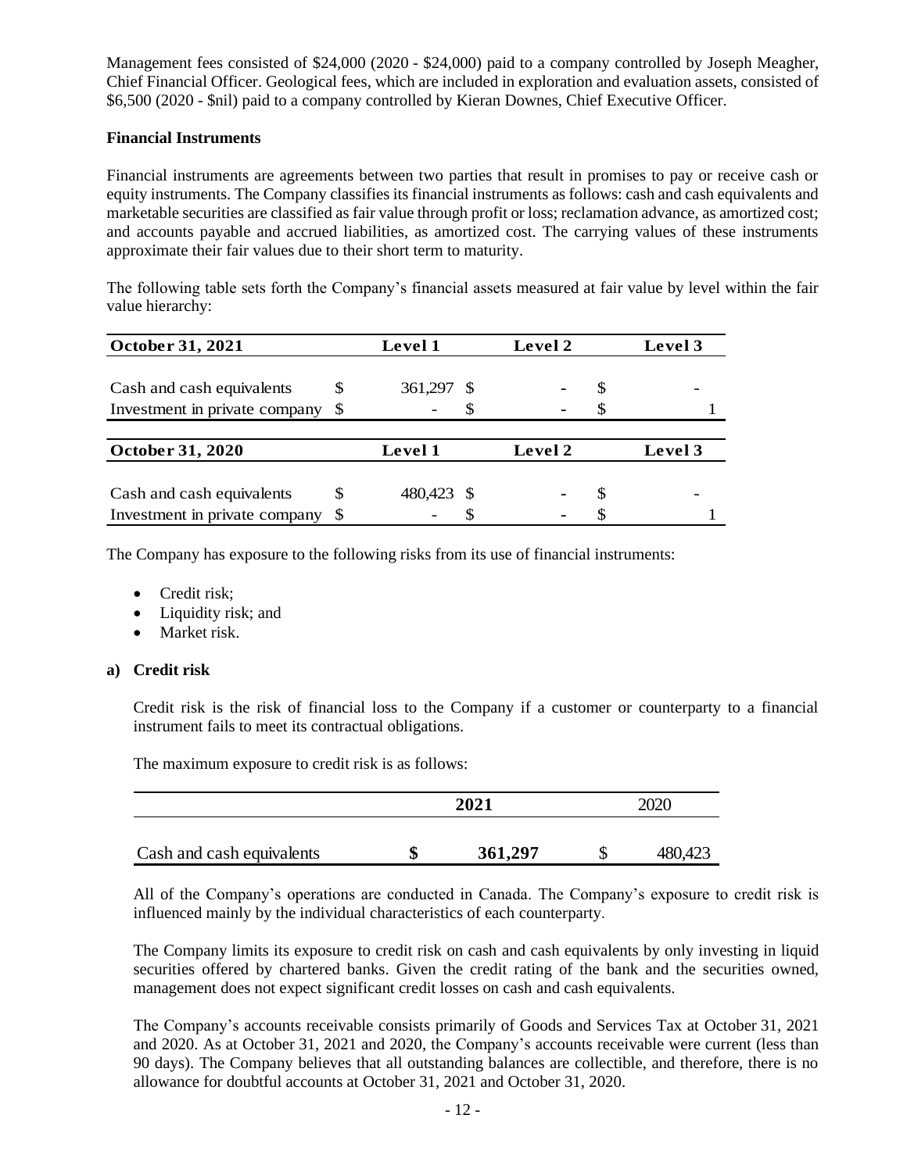Management fees consisted of \$24,000 (2020 - \$24,000) paid to a company controlled by Joseph Meagher, Chief Financial Officer. Geological fees, which are included in exploration and evaluation assets, consisted of \$6,500 (2020 - \$nil) paid to a company controlled by Kieran Downes, Chief Executive Officer.

### **Financial Instruments**

Financial instruments are agreements between two parties that result in promises to pay or receive cash or equity instruments. The Company classifies its financial instruments as follows: cash and cash equivalents and marketable securities are classified as fair value through profit or loss; reclamation advance, as amortized cost; and accounts payable and accrued liabilities, as amortized cost. The carrying values of these instruments approximate their fair values due to their short term to maturity.

The following table sets forth the Company's financial assets measured at fair value by level within the fair value hierarchy:

| October 31, 2021              |    | Level 1 |     | Level 2 |    | Level 3 |
|-------------------------------|----|---------|-----|---------|----|---------|
|                               |    |         |     |         |    |         |
| Cash and cash equivalents     | \$ | 361,297 | -86 |         | Ж, |         |
| Investment in private company | -S |         |     |         |    |         |
|                               |    |         |     |         |    |         |
| October 31, 2020              |    | Level 1 |     | Level 2 |    | Level 3 |
| Cash and cash equivalents     | S  | 480,423 |     |         |    |         |
| Investment in private company | -S |         |     |         |    |         |

The Company has exposure to the following risks from its use of financial instruments:

- Credit risk;
- Liquidity risk; and
- Market risk.

#### **a) Credit risk**

Credit risk is the risk of financial loss to the Company if a customer or counterparty to a financial instrument fails to meet its contractual obligations.

The maximum exposure to credit risk is as follows:

|                           |    | 2021    | 2020 |         |  |  |
|---------------------------|----|---------|------|---------|--|--|
| Cash and cash equivalents | ۱D | 361,297 |      | 480.42. |  |  |

All of the Company's operations are conducted in Canada. The Company's exposure to credit risk is influenced mainly by the individual characteristics of each counterparty.

The Company limits its exposure to credit risk on cash and cash equivalents by only investing in liquid securities offered by chartered banks. Given the credit rating of the bank and the securities owned, management does not expect significant credit losses on cash and cash equivalents.

The Company's accounts receivable consists primarily of Goods and Services Tax at October 31, 2021 and 2020. As at October 31, 2021 and 2020, the Company's accounts receivable were current (less than 90 days). The Company believes that all outstanding balances are collectible, and therefore, there is no allowance for doubtful accounts at October 31, 2021 and October 31, 2020.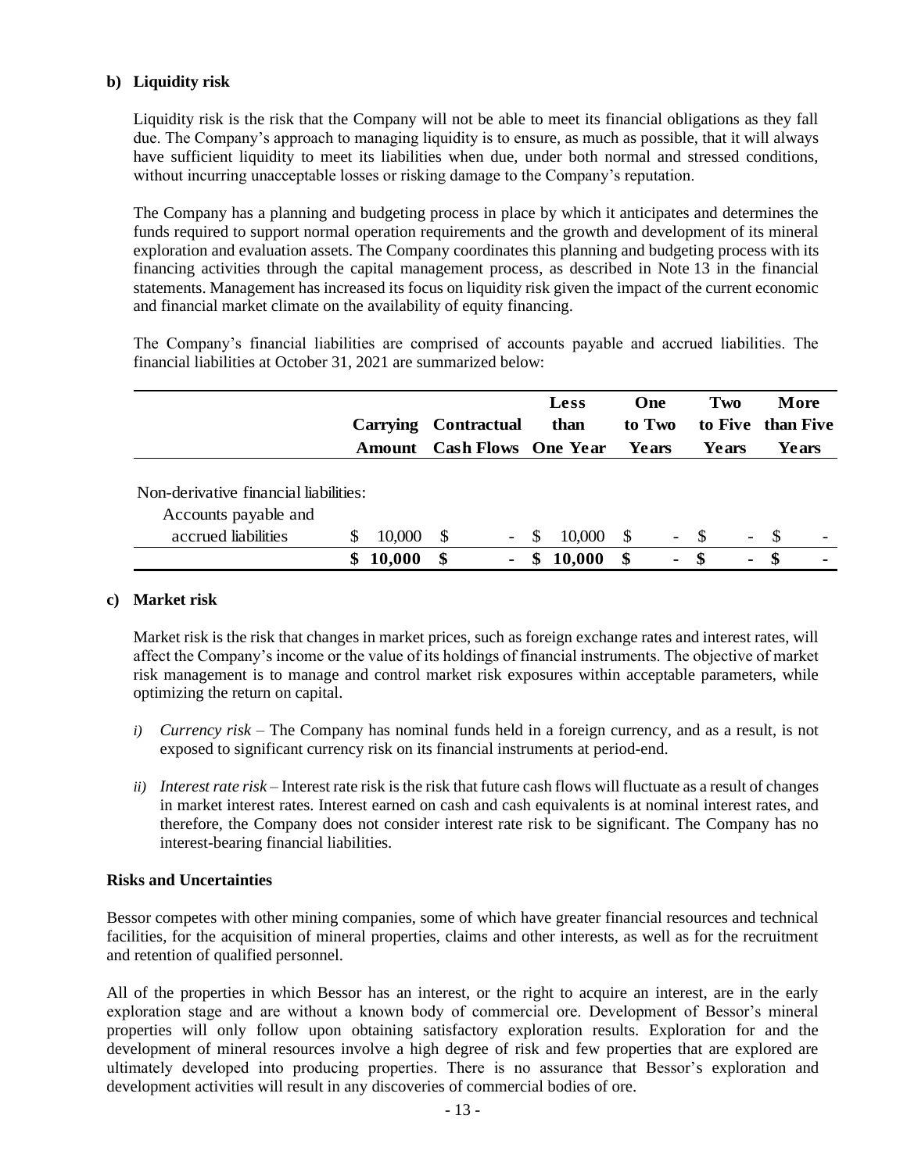# **b) Liquidity risk**

Liquidity risk is the risk that the Company will not be able to meet its financial obligations as they fall due. The Company's approach to managing liquidity is to ensure, as much as possible, that it will always have sufficient liquidity to meet its liabilities when due, under both normal and stressed conditions, without incurring unacceptable losses or risking damage to the Company's reputation.

The Company has a planning and budgeting process in place by which it anticipates and determines the funds required to support normal operation requirements and the growth and development of its mineral exploration and evaluation assets. The Company coordinates this planning and budgeting process with its financing activities through the capital management process, as described in Note 13 in the financial statements. Management has increased its focus on liquidity risk given the impact of the current economic and financial market climate on the availability of equity financing.

The Company's financial liabilities are comprised of accounts payable and accrued liabilities. The financial liabilities at October 31, 2021 are summarized below:

|                                                                                      |   | <b>Contractual</b><br><b>Carrying</b><br><b>Cash Flows</b> One Year<br>Amount |     | <b>Less</b><br>than      | One<br>to Two<br>Years |        | Two<br><b>Years</b> |                          | More<br>to Five than Five<br>Years |                          |     |  |
|--------------------------------------------------------------------------------------|---|-------------------------------------------------------------------------------|-----|--------------------------|------------------------|--------|---------------------|--------------------------|------------------------------------|--------------------------|-----|--|
| Non-derivative financial liabilities:<br>Accounts payable and<br>accrued liabilities | S | 10,000                                                                        | \$. | $\overline{\phantom{a}}$ | -S                     | 10,000 | -S                  | $\overline{\phantom{a}}$ | -S                                 | $\overline{\phantom{0}}$ | - S |  |
|                                                                                      |   | 10,000                                                                        | \$  | ۰.                       |                        | 10,000 | \$                  | ۰                        | -SS                                | ۰.                       | -SS |  |

#### **c) Market risk**

Market risk is the risk that changes in market prices, such as foreign exchange rates and interest rates, will affect the Company's income or the value of its holdings of financial instruments. The objective of market risk management is to manage and control market risk exposures within acceptable parameters, while optimizing the return on capital.

- *i) Currency risk –* The Company has nominal funds held in a foreign currency, and as a result, is not exposed to significant currency risk on its financial instruments at period-end.
- *ii) Interest rate risk –* Interest rate risk is the risk that future cash flows will fluctuate as a result of changes in market interest rates. Interest earned on cash and cash equivalents is at nominal interest rates, and therefore, the Company does not consider interest rate risk to be significant. The Company has no interest-bearing financial liabilities.

### **Risks and Uncertainties**

Bessor competes with other mining companies, some of which have greater financial resources and technical facilities, for the acquisition of mineral properties, claims and other interests, as well as for the recruitment and retention of qualified personnel.

All of the properties in which Bessor has an interest, or the right to acquire an interest, are in the early exploration stage and are without a known body of commercial ore. Development of Bessor's mineral properties will only follow upon obtaining satisfactory exploration results. Exploration for and the development of mineral resources involve a high degree of risk and few properties that are explored are ultimately developed into producing properties. There is no assurance that Bessor's exploration and development activities will result in any discoveries of commercial bodies of ore.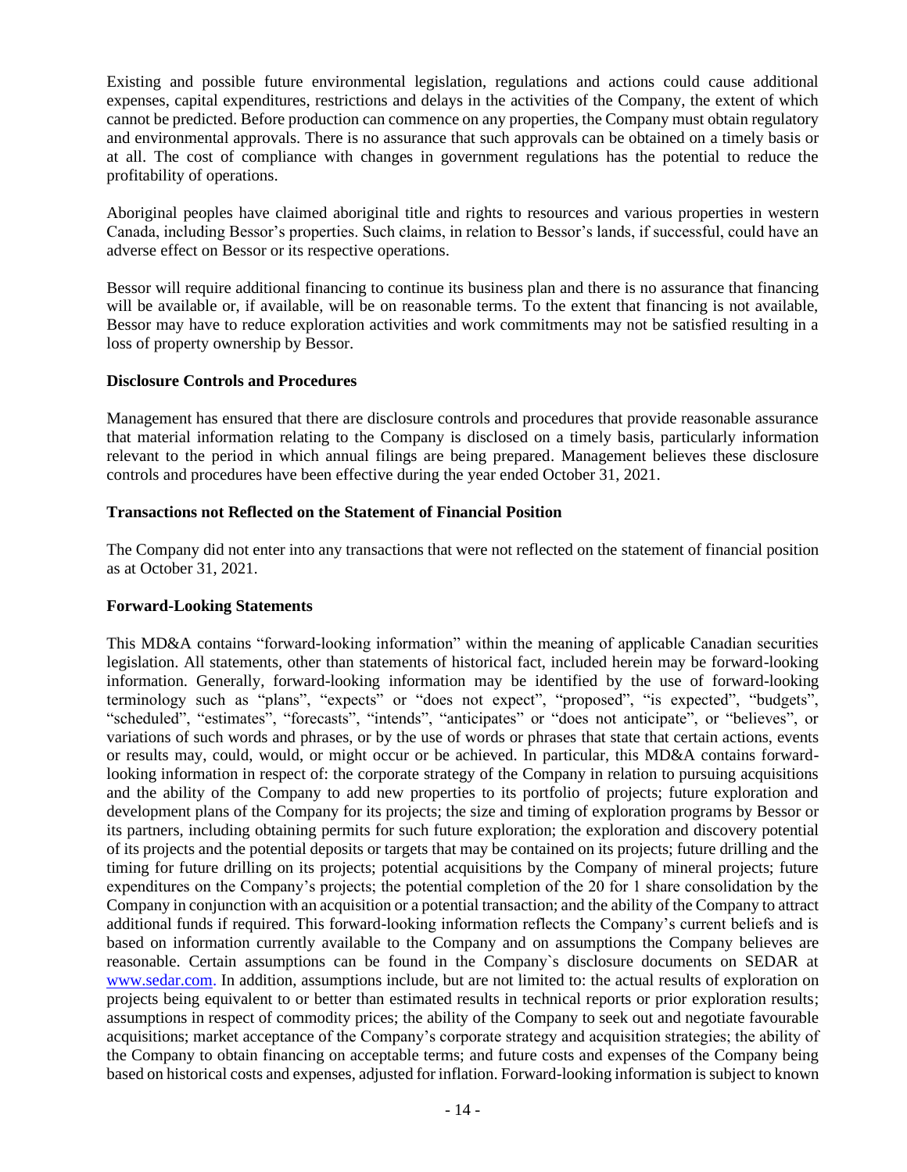Existing and possible future environmental legislation, regulations and actions could cause additional expenses, capital expenditures, restrictions and delays in the activities of the Company, the extent of which cannot be predicted. Before production can commence on any properties, the Company must obtain regulatory and environmental approvals. There is no assurance that such approvals can be obtained on a timely basis or at all. The cost of compliance with changes in government regulations has the potential to reduce the profitability of operations.

Aboriginal peoples have claimed aboriginal title and rights to resources and various properties in western Canada, including Bessor's properties. Such claims, in relation to Bessor's lands, if successful, could have an adverse effect on Bessor or its respective operations.

Bessor will require additional financing to continue its business plan and there is no assurance that financing will be available or, if available, will be on reasonable terms. To the extent that financing is not available, Bessor may have to reduce exploration activities and work commitments may not be satisfied resulting in a loss of property ownership by Bessor.

#### **Disclosure Controls and Procedures**

Management has ensured that there are disclosure controls and procedures that provide reasonable assurance that material information relating to the Company is disclosed on a timely basis, particularly information relevant to the period in which annual filings are being prepared. Management believes these disclosure controls and procedures have been effective during the year ended October 31, 2021.

#### **Transactions not Reflected on the Statement of Financial Position**

The Company did not enter into any transactions that were not reflected on the statement of financial position as at October 31, 2021.

#### **Forward-Looking Statements**

This MD&A contains "forward-looking information" within the meaning of applicable Canadian securities legislation. All statements, other than statements of historical fact, included herein may be forward-looking information. Generally, forward-looking information may be identified by the use of forward-looking terminology such as "plans", "expects" or "does not expect", "proposed", "is expected", "budgets", "scheduled", "estimates", "forecasts", "intends", "anticipates" or "does not anticipate", or "believes", or variations of such words and phrases, or by the use of words or phrases that state that certain actions, events or results may, could, would, or might occur or be achieved. In particular, this MD&A contains forwardlooking information in respect of: the corporate strategy of the Company in relation to pursuing acquisitions and the ability of the Company to add new properties to its portfolio of projects; future exploration and development plans of the Company for its projects; the size and timing of exploration programs by Bessor or its partners, including obtaining permits for such future exploration; the exploration and discovery potential of its projects and the potential deposits or targets that may be contained on its projects; future drilling and the timing for future drilling on its projects; potential acquisitions by the Company of mineral projects; future expenditures on the Company's projects; the potential completion of the 20 for 1 share consolidation by the Company in conjunction with an acquisition or a potential transaction; and the ability of the Company to attract additional funds if required. This forward-looking information reflects the Company's current beliefs and is based on information currently available to the Company and on assumptions the Company believes are reasonable. Certain assumptions can be found in the Company`s disclosure documents on SEDAR at [www.sedar.com.](http://www.sedar.com/) In addition, assumptions include, but are not limited to: the actual results of exploration on projects being equivalent to or better than estimated results in technical reports or prior exploration results; assumptions in respect of commodity prices; the ability of the Company to seek out and negotiate favourable acquisitions; market acceptance of the Company's corporate strategy and acquisition strategies; the ability of the Company to obtain financing on acceptable terms; and future costs and expenses of the Company being based on historical costs and expenses, adjusted for inflation. Forward-looking information is subject to known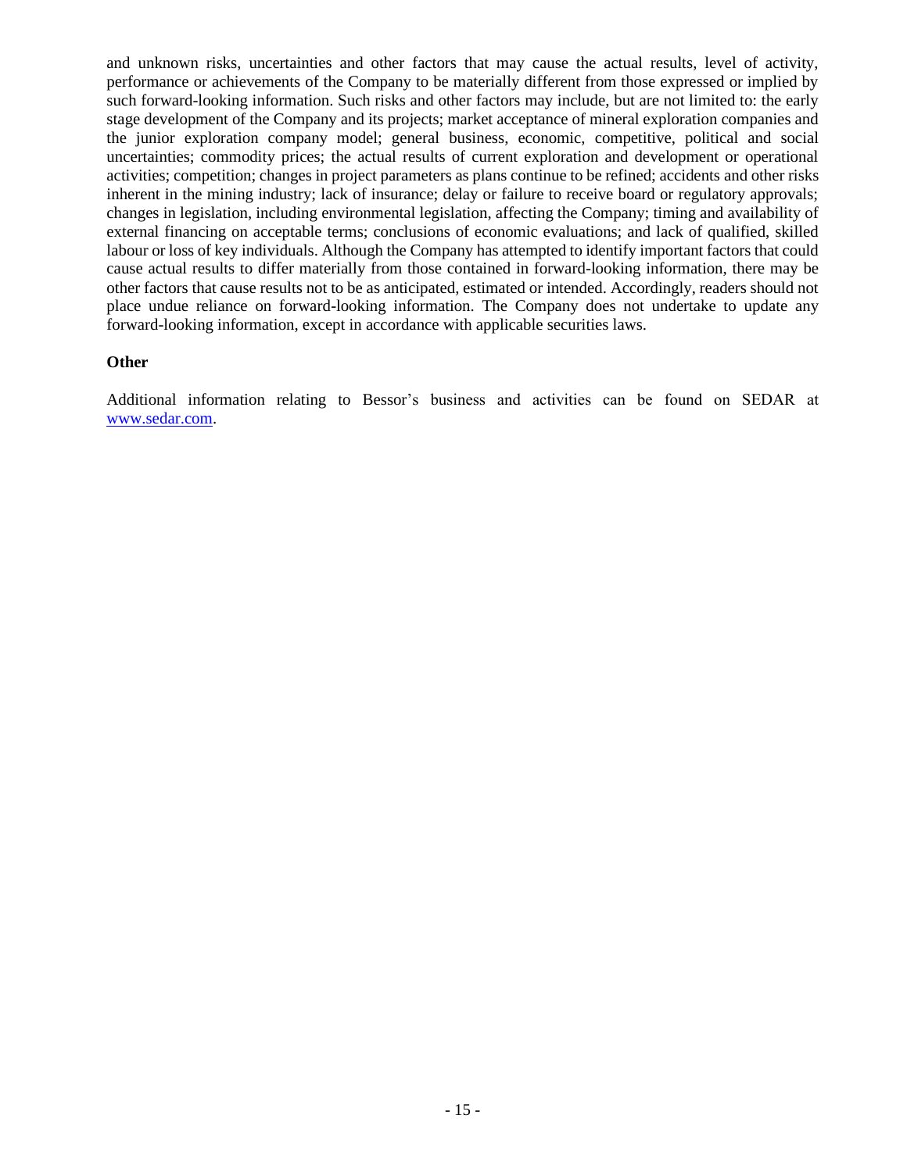and unknown risks, uncertainties and other factors that may cause the actual results, level of activity, performance or achievements of the Company to be materially different from those expressed or implied by such forward-looking information. Such risks and other factors may include, but are not limited to: the early stage development of the Company and its projects; market acceptance of mineral exploration companies and the junior exploration company model; general business, economic, competitive, political and social uncertainties; commodity prices; the actual results of current exploration and development or operational activities; competition; changes in project parameters as plans continue to be refined; accidents and other risks inherent in the mining industry; lack of insurance; delay or failure to receive board or regulatory approvals; changes in legislation, including environmental legislation, affecting the Company; timing and availability of external financing on acceptable terms; conclusions of economic evaluations; and lack of qualified, skilled labour or loss of key individuals. Although the Company has attempted to identify important factors that could cause actual results to differ materially from those contained in forward-looking information, there may be other factors that cause results not to be as anticipated, estimated or intended. Accordingly, readers should not place undue reliance on forward-looking information. The Company does not undertake to update any forward-looking information, except in accordance with applicable securities laws.

#### **Other**

Additional information relating to Bessor's business and activities can be found on SEDAR at [www.sedar.com.](http://www.sedar.com/)